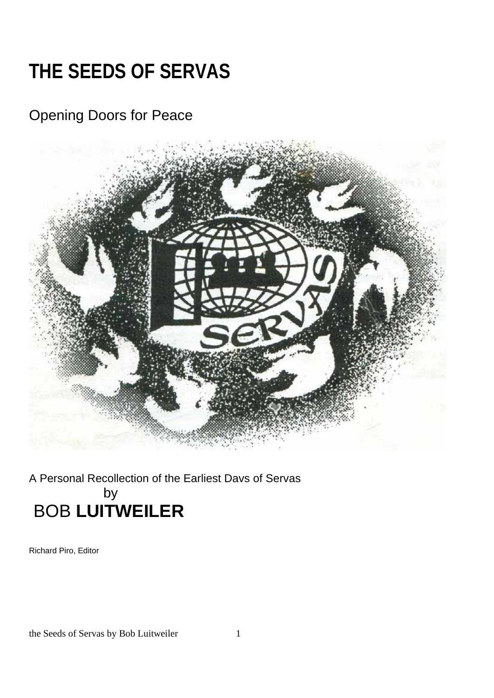# **THE SEEDS OF SERVAS**

# Opening Doors for Peace



# A Personal Recollection of the Earliest Davs of Servas by BOB **LUITWEILER**

Richard Piro, Editor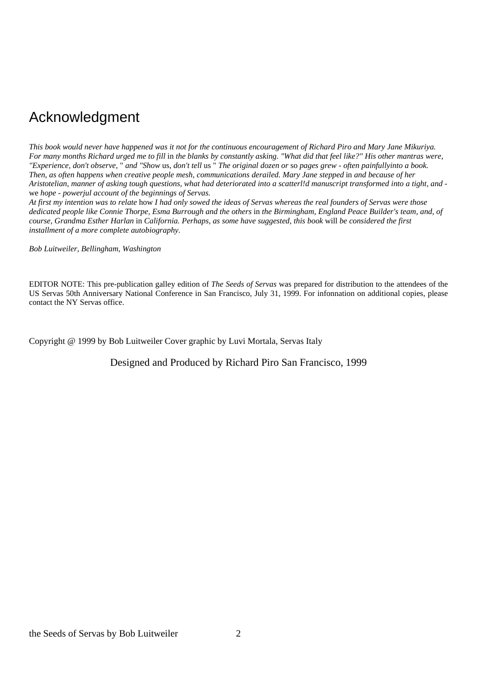# Acknowledgment

*This book would never have happened was it not for the continuous encouragement of Richard Piro and Mary Jane Mikuriya. For many months Richard urged me to fill* in *the blanks by constantly asking. "What did that feel like?" His other mantras were, "Experience, don't observe,* " *and "Show* us, *don't tell* us " *The original dozen or* so *pages grew* - *often painfullyinto a book. Then, as often happens when creative people mesh, communications derailed. Mary Jane stepped* in *and because of her Aristotelian, manner of asking tough questions, what had deteriorated into a scatterl!d manuscript transformed into a tight, and*  we *hope* - *powerjul account of the beginnings of Servas.* 

*At first my intention was to relate* how *I had only sowed the ideas of Servas whereas the real founders of Servas were those dedicated people like Connie Thorpe, Esma Burrough and the others* in *the Birmingham, England Peace Builder's team, and, of course, Grandma Esther Harlan* in *California. Perhaps, as some have suggested, this book* will *be considered the first installment of a more complete autobiography.* 

*Bob Luitweiler, Bellingham, Washington* 

EDITOR NOTE: This pre-publication galley edition of *The Seeds of Servas* was prepared for distribution to the attendees of the US Servas 50th Anniversary National Conference in San Francisco, July 31, 1999. For infonnation on additional copies, please contact the NY Servas office.

Copyright @ 1999 by Bob Luitweiler Cover graphic by Luvi Mortala, Servas Italy

Designed and Produced by Richard Piro San Francisco, 1999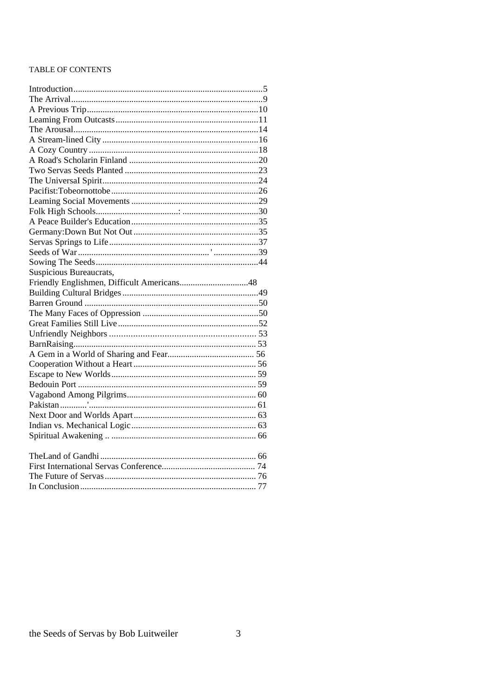#### TABLE OF CONTENTS

| Suspicious Bureaucrats,                    |  |
|--------------------------------------------|--|
| Friendly Englishmen, Difficult Americans48 |  |
|                                            |  |
|                                            |  |
|                                            |  |
|                                            |  |
|                                            |  |
|                                            |  |
|                                            |  |
|                                            |  |
|                                            |  |
|                                            |  |
|                                            |  |
|                                            |  |
|                                            |  |
|                                            |  |
|                                            |  |
|                                            |  |
|                                            |  |
|                                            |  |
|                                            |  |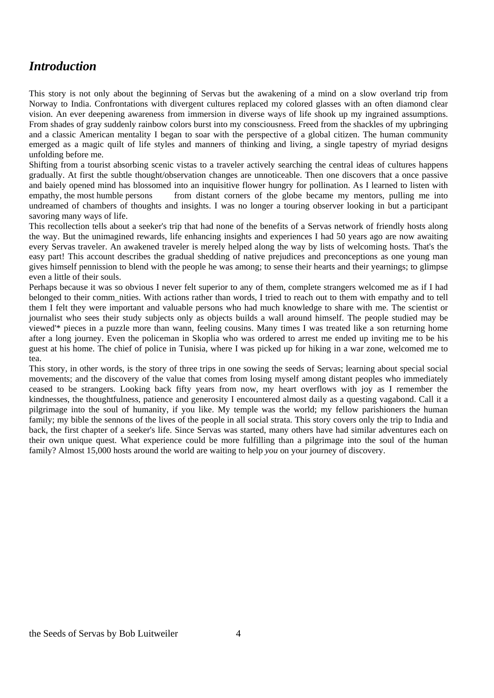#### *Introduction*

This story is not only about the beginning of Servas but the awakening of a mind on a slow overland trip from Norway to India. Confrontations with divergent cultures replaced my colored glasses with an often diamond clear vision. An ever deepening awareness from immersion in diverse ways of life shook up my ingrained assumptions. From shades of gray suddenly rainbow colors burst into my consciousness. Freed from the shackles of my upbringing and a classic American mentality I began to soar with the perspective of a global citizen. The human community emerged as a magic quilt of life styles and manners of thinking and living, a single tapestry of myriad designs unfolding before me.

Shifting from a tourist absorbing scenic vistas to a traveler actively searching the central ideas of cultures happens gradually. At first the subtle thought/observation changes are unnoticeable. Then one discovers that a once passive and baiely opened mind has blossomed into an inquisitive flower hungry for pollination. As I learned to listen with empathy, the most humble persons from distant corners of the globe became my mentors, pulling me into undreamed of chambers of thoughts and insights. I was no longer a touring observer looking in but a participant savoring many ways of life.

This recollection tells about a seeker's trip that had none of the benefits of a Servas network of friendly hosts along the way. But the unimagined rewards, life enhancing insights and experiences I had 50 years ago are now awaiting every Servas traveler. An awakened traveler is merely helped along the way by lists of welcoming hosts. That's the easy part! This account describes the gradual shedding of native prejudices and preconceptions as one young man gives himself pennission to blend with the people he was among; to sense their hearts and their yearnings; to glimpse even a little of their souls.

Perhaps because it was so obvious I never felt superior to any of them, complete strangers welcomed me as if I had belonged to their comm\_nities. With actions rather than words, I tried to reach out to them with empathy and to tell them I felt they were important and valuable persons who had much knowledge to share with me. The scientist or journalist who sees their study subjects only as objects builds a wall around himself. The people studied may be viewed'\* pieces in a puzzle more than wann, feeling cousins. Many times I was treated like a son returning home after a long journey. Even the policeman in Skoplia who was ordered to arrest me ended up inviting me to be his guest at his home. The chief of police in Tunisia, where I was picked up for hiking in a war zone, welcomed me to tea.

This story, in other words, is the story of three trips in one sowing the seeds of Servas; learning about special social movements; and the discovery of the value that comes from losing myself among distant peoples who immediately ceased to be strangers. Looking back fifty years from now, my heart overflows with joy as I remember the kindnesses, the thoughtfulness, patience and generosity I encountered almost daily as a questing vagabond. Call it a pilgrimage into the soul of humanity, if you like. My temple was the world; my fellow parishioners the human family; my bible the sennons of the lives of the people in all social strata. This story covers only the trip to India and back, the first chapter of a seeker's life. Since Servas was started, many others have had similar adventures each on their own unique quest. What experience could be more fulfilling than a pilgrimage into the soul of the human family? Almost 15,000 hosts around the world are waiting to help *you* on your journey of discovery.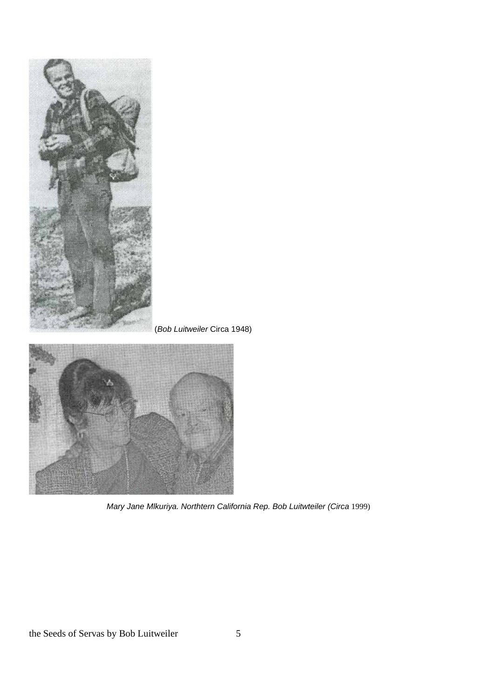

*Mary Jane Mlkuriya. Northtern California Rep. Bob Luitwteiler (Circa* 1999)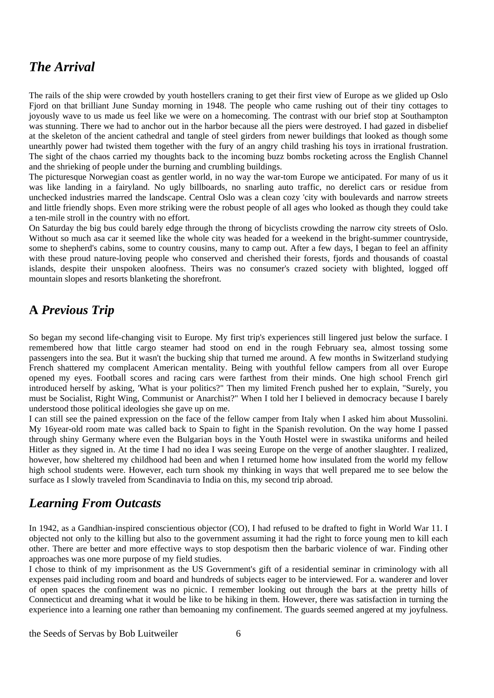## *The Arrival*

The rails of the ship were crowded by youth hostellers craning to get their first view of Europe as we glided up Oslo Fjord on that brilliant June Sunday morning in 1948. The people who came rushing out of their tiny cottages to joyously wave to us made us feel like we were on a homecoming. The contrast with our brief stop at Southampton was stunning. There we had to anchor out in the harbor because all the piers were destroyed. I had gazed in disbelief at the skeleton of the ancient cathedral and tangle of steel girders from newer buildings that looked as though some unearthly power had twisted them together with the fury of an angry child trashing his toys in irrational frustration. The sight of the chaos carried my thoughts back to the incoming buzz bombs rocketing across the English Channel and the shrieking of people under the burning and crumbling buildings.

The picturesque Norwegian coast as gentler world, in no way the war-tom Europe we anticipated. For many of us it was like landing in a fairyland. No ugly billboards, no snarling auto traffic, no derelict cars or residue from unchecked industries marred the landscape. Central Oslo was a clean cozy 'city with boulevards and narrow streets and little friendly shops. Even more striking were the robust people of all ages who looked as though they could take a ten-mile stroll in the country with no effort.

On Saturday the big bus could barely edge through the throng of bicyclists crowding the narrow city streets of Oslo. Without so much asa car it seemed like the whole city was headed for a weekend in the bright-summer countryside, some to shepherd's cabins, some to country cousins, many to camp out. After a few days, I began to feel an affinity with these proud nature-loving people who conserved and cherished their forests, fjords and thousands of coastal islands, despite their unspoken aloofness. Theirs was no consumer's crazed society with blighted, logged off mountain slopes and resorts blanketing the shorefront.

#### **A** *Previous Trip*

So began my second life-changing visit to Europe. My first trip's experiences still lingered just below the surface. I remembered how that little cargo steamer had stood on end in the rough February sea, almost tossing some passengers into the sea. But it wasn't the bucking ship that turned me around. A few months in Switzerland studying French shattered my complacent American mentality. Being with youthful fellow campers from all over Europe opened my eyes. Football scores and racing cars were farthest from their minds. One high school French girl introduced herself by asking, 'What is your politics?" Then my limited French pushed her to explain, "Surely, you must be Socialist, Right Wing, Communist or Anarchist?" When I told her I believed in democracy because I barely understood those political ideologies she gave up on me.

I can still see the pained expression on the face of the fellow camper from Italy when I asked him about Mussolini. My 16year-old room mate was called back to Spain to fight in the Spanish revolution. On the way home I passed through shiny Germany where even the Bulgarian boys in the Youth Hostel were in swastika uniforms and heiled Hitler as they signed in. At the time I had no idea I was seeing Europe on the verge of another slaughter. I realized, however, how sheltered my childhood had been and when I returned home how insulated from the world my fellow high school students were. However, each turn shook my thinking in ways that well prepared me to see below the surface as I slowly traveled from Scandinavia to India on this, my second trip abroad.

#### *Learning From Outcasts*

In 1942, as a Gandhian-inspired conscientious objector (CO), I had refused to be drafted to fight in World War 11. I objected not only to the killing but also to the government assuming it had the right to force young men to kill each other. There are better and more effective ways to stop despotism then the barbaric violence of war. Finding other approaches was one more purpose of my field studies.

I chose to think of my imprisonment as the US Government's gift of a residential seminar in criminology with all expenses paid including room and board and hundreds of subjects eager to be interviewed. For a. wanderer and lover of open spaces the confinement was no picnic. I remember looking out through the bars at the pretty hills of Connecticut and dreaming what it would be like to be hiking in them. However, there was satisfaction in turning the experience into a learning one rather than bemoaning my confinement. The guards seemed angered at my joyfulness.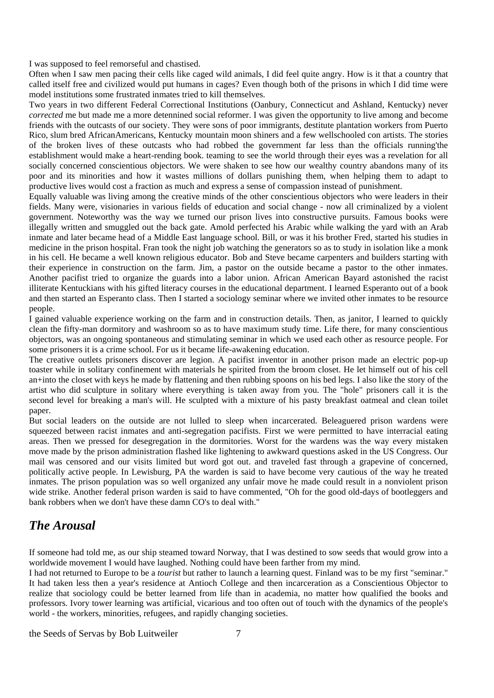I was supposed to feel remorseful and chastised.

Often when I saw men pacing their cells like caged wild animals, I did feel quite angry. How is it that a country that called itself free and civilized would put humans in cages? Even though both of the prisons in which I did time were model institutions some frustrated inmates tried to kill themselves.

Two years in two different Federal Correctional Institutions (Oanbury, Connecticut and Ashland, Kentucky) never *corrected* me but made me a more detennined social reformer. I was given the opportunity to live among and become friends with the outcasts of our society. They were sons of poor immigrants, destitute plantation workers from Puerto Rico, slum bred AfricanAmericans, Kentucky mountain moon shiners and a few wellschooled con artists. The stories of the broken lives of these outcasts who had robbed the government far less than the officials running'the establishment would make a heart-rending book. teaming to see the world through their eyes was a revelation for all socially concerned conscientious objectors. We were shaken to see how our wealthy country abandons many of its poor and its minorities and how it wastes millions of dollars punishing them, when helping them to adapt to productive lives would cost a fraction as much and express a sense of compassion instead of punishment.

Equally valuable was living among the creative minds of the other conscientious objectors who were leaders in their fields. Many were, visionaries in various fields of education and social change - now all criminalized by a violent government. Noteworthy was the way we turned our prison lives into constructive pursuits. Famous books were illegally written and smuggled out the back gate. Amold perfected his Arabic while walking the yard with an Arab inmate and later became head of a Middle East language school. Bill, or was it his brother Fred, started his studies in medicine in the prison hospital. Fran took the night job watching the generators so as to study in isolation like a monk in his cell. He became a well known religious educator. Bob and Steve became carpenters and builders starting with their experience in construction on the farm. Jim, a pastor on the outside became a pastor to the other inmates. Another pacifist tried to organize the guards into a labor union. African American Bayard astonished the racist illiterate Kentuckians with his gifted literacy courses in the educational department. I learned Esperanto out of a book and then started an Esperanto class. Then I started a sociology seminar where we invited other inmates to be resource people.

I gained valuable experience working on the farm and in construction details. Then, as janitor, I learned to quickly clean the fifty-man dormitory and washroom so as to have maximum study time. Life there, for many conscientious objectors, was an ongoing spontaneous and stimulating seminar in which we used each other as resource people. For some prisoners it is a crime school. For us it became life-awakening education.

The creative outlets prisoners discover are legion. A pacifist inventor in another prison made an electric pop-up toaster while in solitary confinement with materials he spirited from the broom closet. He let himself out of his cell an+into the closet with keys he made by flattening and then rubbing spoons on his bed legs. I also like the story of the artist who did sculpture in solitary where everything is taken away from you. The "hole" prisoners call it is the second level for breaking a man's will. He sculpted with a mixture of his pasty breakfast oatmeal and clean toilet paper.

But social leaders on the outside are not lulled to sleep when incarcerated. Beleaguered prison wardens were squeezed between racist inmates and anti-segregation pacifists. First we were permitted to have interracial eating areas. Then we pressed for desegregation in the dormitories. Worst for the wardens was the way every mistaken move made by the prison administration flashed like lightening to awkward questions asked in the US Congress. Our mail was censored and our visits limited but word got out. and traveled fast through a grapevine of concerned, politically active people. In Lewisburg, PA the warden is said to have become very cautious of the way he treated inmates. The prison population was so well organized any unfair move he made could result in a nonviolent prison wide strike. Another federal prison warden is said to have commented, "Oh for the good old-days of bootleggers and bank robbers when we don't have these damn CO's to deal with."

# *The Arousal*

If someone had told me, as our ship steamed toward Norway, that I was destined to sow seeds that would grow into a worldwide movement I would have laughed. Nothing could have been farther from my mind.

I had not returned to Europe to be a *tourist* but rather to launch a learning quest. Finland was to be my first "seminar." It had taken less then a year's residence at Antioch College and then incarceration as a Conscientious Objector to realize that sociology could be better learned from life than in academia, no matter how qualified the books and professors. Ivory tower learning was artificial, vicarious and too often out of touch with the dynamics of the people's world - the workers, minorities, refugees, and rapidly changing societies.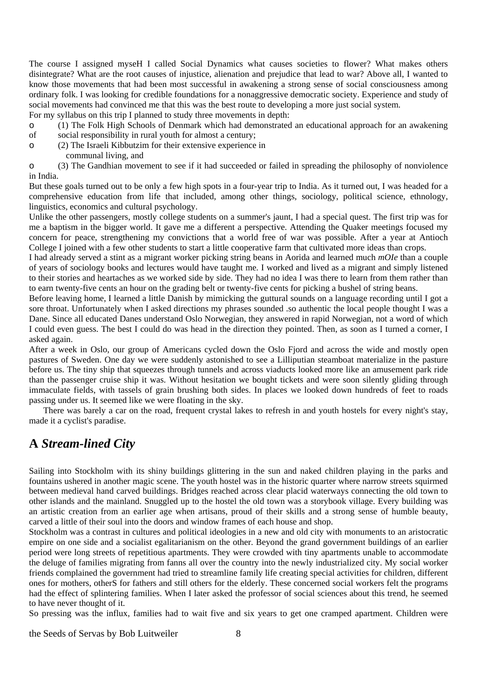The course I assigned myseH I called Social Dynamics what causes societies to flower? What makes others disintegrate? What are the root causes of injustice, alienation and prejudice that lead to war? Above all, I wanted to know those movements that had been most successful in awakening a strong sense of social consciousness among ordinary folk. I was looking for credible foundations for a nonaggressive democratic society. Experience and study of social movements had convinced me that this was the best route to developing a more just social system.

For my syllabus on this trip I planned to study three movements in depth:

- o (1) The Folk High Schools of Denmark which had demonstrated an educational approach for an awakening
- of social responsibility in rural youth for almost a century;
- o (2) The Israeli Kibbutzim for their extensive experience in

communal living, and

o (3) The Gandhian movement to see if it had succeeded or failed in spreading the philosophy of nonviolence in India.

But these goals turned out to be only a few high spots in a four-year trip to India. As it turned out, I was headed for a comprehensive education from life that included, among other things, sociology, political science, ethnology, linguistics, economics and cultural psychology.

Unlike the other passengers, mostly college students on a summer's jaunt, I had a special quest. The first trip was for me a baptism in the bigger world. It gave me a different a perspective. Attending the Quaker meetings focused my concern for peace, strengthening my convictions that a world free of war was possible. After a year at Antioch College I joined with a few other students to start a little cooperative farm that cultivated more ideas than crops.

I had already served a stint as a migrant worker picking string beans in Aorida and learned much *mOIe* than a couple of years of sociology books and lectures would have taught me. I worked and lived as a migrant and simply listened to their stories and heartaches as we worked side by side. They had no idea I was there to learn from them rather than to earn twenty-five cents an hour on the grading belt or twenty-five cents for picking a bushel of string beans.

Before leaving home, I learned a little Danish by mimicking the guttural sounds on a language recording until I got a sore throat. Unfortunately when I asked directions my phrases sounded .so authentic the local people thought I was a Dane. Since all educated Danes understand Oslo Norwegian, they answered in rapid Norwegian, not a word of which I could even guess. The best I could do was head in the direction they pointed. Then, as soon as I turned a corner, I asked again.

After a week in Oslo, our group of Americans cycled down the Oslo Fjord and across the wide and mostly open pastures of Sweden. One day we were suddenly astonished to see a Lilliputian steamboat materialize in the pasture before us. The tiny ship that squeezes through tunnels and across viaducts looked more like an amusement park ride than the passenger cruise ship it was. Without hesitation we bought tickets and were soon silently gliding through immaculate fields, with tassels of grain brushing both sides. In places we looked down hundreds of feet to roads passing under us. It seemed like we were floating in the sky.

 There was barely a car on the road, frequent crystal lakes to refresh in and youth hostels for every night's stay, made it a cyclist's paradise.

# **A** *Stream-lined City*

Sailing into Stockholm with its shiny buildings glittering in the sun and naked children playing in the parks and fountains ushered in another magic scene. The youth hostel was in the historic quarter where narrow streets squirmed between medieval hand carved buildings. Bridges reached across clear placid waterways connecting the old town to other islands and the mainland. Snuggled up to the hostel the old town was a storybook village. Every building was an artistic creation from an earlier age when artisans, proud of their skills and a strong sense of humble beauty, carved a little of their soul into the doors and window frames of each house and shop.

Stockholm was a contrast in cultures and political ideologies in a new and old city with monuments to an aristocratic empire on one side and a socialist egalitarianism on the other. Beyond the grand government buildings of an earlier period were long streets of repetitious apartments. They were crowded with tiny apartments unable to accommodate the deluge of families migrating from fanns all over the country into the newly industrialized city. My social worker friends complained the government had tried to streamline family life creating special activities for children, different ones for mothers, otherS for fathers and still others for the elderly. These concerned social workers felt the programs had the effect of splintering families. When I later asked the professor of social sciences about this trend, he seemed to have never thought of it.

So pressing was the influx, families had to wait five and six years to get one cramped apartment. Children were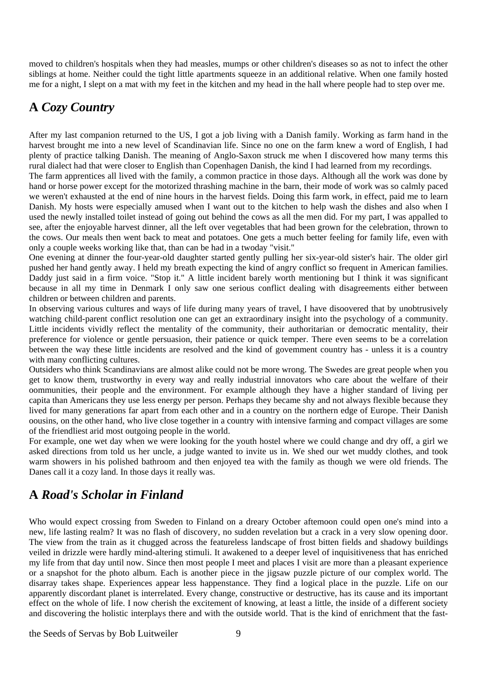moved to children's hospitals when they had measles, mumps or other children's diseases so as not to infect the other siblings at home. Neither could the tight little apartments squeeze in an additional relative. When one family hosted me for a night, I slept on a mat with my feet in the kitchen and my head in the hall where people had to step over me.

# **A** *Cozy Country*

After my last companion returned to the US, I got a job living with a Danish family. Working as farm hand in the harvest brought me into a new level of Scandinavian life. Since no one on the farm knew a word of English, I had plenty of practice talking Danish. The meaning of Anglo-Saxon struck me when I discovered how many terms this rural dialect had that were closer to English than Copenhagen Danish, the kind I had learned from my recordings.

The farm apprentices all lived with the family, a common practice in those days. Although all the work was done by hand or horse power except for the motorized thrashing machine in the barn, their mode of work was so calmly paced we weren't exhausted at the end of nine hours in the harvest fields. Doing this farm work, in effect, paid me to learn Danish. My hosts were especially amused when I want out to the kitchen to help wash the dishes and also when I used the newly installed toilet instead of going out behind the cows as all the men did. For my part, I was appalled to see, after the enjoyable harvest dinner, all the left over vegetables that had been grown for the celebration, thrown to the cows. Our meals then went back to meat and potatoes. One gets a much better feeling for family life, even with only a couple weeks working like that, than can be had in a twoday "visit."

One evening at dinner the four-year-old daughter started gently pulling her six-year-old sister's hair. The older girl pushed her hand gently away. I held my breath expecting the kind of angry conflict so frequent in American families. Daddy just said in a firm voice. "Stop it." A little incident barely worth mentioning but I think it was significant because in all my time in Denmark I only saw one serious conflict dealing with disagreements either between children or between children and parents.

In observing various cultures and ways of life during many years of travel, I have disoovered that by unobtrusively watching child-parent conflict resolution one can get an extraordinary insight into the psychology of a community. Little incidents vividly reflect the mentality of the community, their authoritarian or democratic mentality, their preference for violence or gentle persuasion, their patience or quick temper. There even seems to be a correlation between the way these little incidents are resolved and the kind of govemment country has - unless it is a country with many conflicting cultures.

Outsiders who think Scandinavians are almost alike could not be more wrong. The Swedes are great people when you get to know them, trustworthy in every way and really industrial innovators who care about the welfare of their oommunities, their people and the environment. For example although they have a higher standard of living per capita than Americans they use less energy per person. Perhaps they became shy and not always flexible because they lived for many generations far apart from each other and in a country on the northern edge of Europe. Their Danish oousins, on the other hand, who live close together in a country with intensive farming and compact villages are some of the friendliest arid most outgoing people in the world.

For example, one wet day when we were looking for the youth hostel where we could change and dry off, a girl we asked directions from told us her uncle, a judge wanted to invite us in. We shed our wet muddy clothes, and took warm showers in his polished bathroom and then enjoyed tea with the family as though we were old friends. The Danes call it a cozy land. In those days it really was.

# **A** *Road's Scholar in Finland*

Who would expect crossing from Sweden to Finland on a dreary October aftemoon could open one's mind into a new, life lasting realm? It was no flash of discovery, no sudden revelation but a crack in a very slow opening door. The view from the train as it chugged across the featureless landscape of frost bitten fields and shadowy buildings veiled in drizzle were hardly mind-altering stimuli. It awakened to a deeper level of inquisitiveness that has enriched my life from that day until now. Since then most people I meet and places I visit are more than a pleasant experience or a snapshot for the photo album. Each is another piece in the jigsaw puzzle picture of our complex world. The disarray takes shape. Experiences appear less happenstance. They find a logical place in the puzzle. Life on our apparently discordant planet is interrelated. Every change, constructive or destructive, has its cause and its important effect on the whole of life. I now cherish the excitement of knowing, at least a little, the inside of a different society and discovering the holistic interplays there and with the outside world. That is the kind of enrichment that the fast-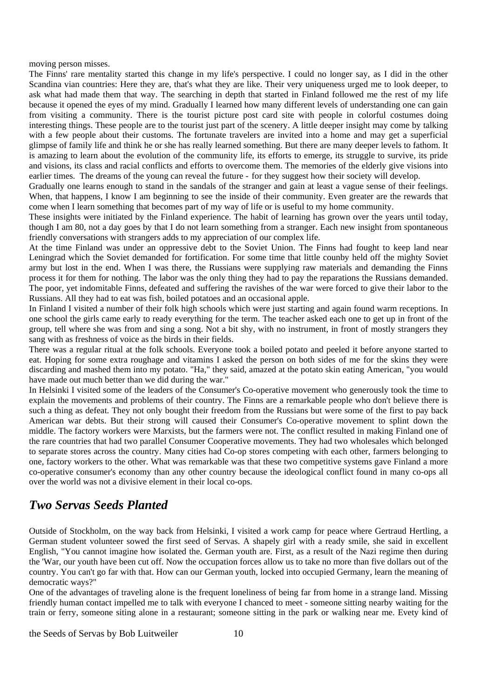moving person misses.

The Finns' rare mentality started this change in my life's perspective. I could no longer say, as I did in the other Scandina vian countries: Here they are, that's what they are like. Their very uniqueness urged me to look deeper, to ask what had made them that way. The searching in depth that started in Finland followed me the rest of my life because it opened the eyes of my mind. Gradually I learned how many different levels of understanding one can gain from visiting a community. There is the tourist picture post card site with people in colorful costumes doing interesting things. These people are to the tourist just part of the scenery. A little deeper insight may come by talking with a few people about their customs. The fortunate travelers are invited into a home and may get a superficial glimpse of family life and think he or she has really learned something. But there are many deeper levels to fathom. It is amazing to learn about the evolution of the community life, its efforts to emerge, its struggle to survive, its pride and visions, its class and racial conflicts and efforts to overcome them. The memories of the elderly give visions into earlier times. The dreams of the young can reveal the future - for they suggest how their society will develop.

Gradually one learns enough to stand in the sandals of the stranger and gain at least a vague sense of their feelings. When, that happens, I know I am beginning to see the inside of their community. Even greater are the rewards that come when I learn something that becomes part of my way of life or is useful to my home community.

These insights were initiated by the Finland experience. The habit of learning has grown over the years until today, though I am 80, not a day goes by that I do not learn something from a stranger. Each new insight from spontaneous friendly conversations with strangers adds to my appreciation of our complex life.

At the time Finland was under an oppressive debt to the Soviet Union. The Finns had fought to keep land near Leningrad which the Soviet demanded for fortification. For some time that little counby held off the mighty Soviet army but lost in the end. When I was there, the Russians were supplying raw materials and demanding the Finns process it for them for nothing. The labor was the only thing they had to pay the reparations the Russians demanded. The poor, yet indomitable Finns, defeated and suffering the ravishes of the war were forced to give their labor to the Russians. All they had to eat was fish, boiled potatoes and an occasional apple.

In Finland I visited a number of their folk high schools which were just starting and again found warm receptions. In one school the girls came early to ready everything for the term. The teacher asked each one to get up in front of the group, tell where she was from and sing a song. Not a bit shy, with no instrument, in front of mostly strangers they sang with as freshness of voice as the birds in their fields.

There was a regular ritual at the folk schools. Everyone took a boiled potato and peeled it before anyone started to eat. Hoping for some extra roughage and vitamins I asked the person on both sides of me for the skins they were discarding and mashed them into my potato. "Ha," they said, amazed at the potato skin eating American, "you would have made out much better than we did during the war."

In Helsinki I visited some of the leaders of the Consumer's Co-operative movement who generously took the time to explain the movements and problems of their country. The Finns are a remarkable people who don't believe there is such a thing as defeat. They not only bought their freedom from the Russians but were some of the first to pay back American war debts. But their strong will caused their Consumer's Co-operative movement to splint down the middle. The factory workers were Marxists, but the farmers were not. The conflict resulted in making Finland one of the rare countries that had two parallel Consumer Cooperative movements. They had two wholesales which belonged to separate stores across the country. Many cities had Co-op stores competing with each other, farmers belonging to one, factory workers to the other. What was remarkable was that these two competitive systems gave Finland a more co-operative consumer's economy than any other country because the ideological conflict found in many co-ops all over the world was not a divisive element in their local co-ops.

#### *Two Servas Seeds Planted*

Outside of Stockholm, on the way back from Helsinki, I visited a work camp for peace where Gertraud Hertling, a German student volunteer sowed the first seed of Servas. A shapely girl with a ready smile, she said in excellent English, "You cannot imagine how isolated the. German youth are. First, as a result of the Nazi regime then during the 'War, our youth have been cut off. Now the occupation forces allow us to take no more than five dollars out of the country. You can't go far with that. How can our German youth, locked into occupied Germany, learn the meaning of democratic ways?"

One of the advantages of traveling alone is the frequent loneliness of being far from home in a strange land. Missing friendly human contact impelled me to talk with everyone I chanced to meet - someone sitting nearby waiting for the train or ferry, someone siting alone in a restaurant; someone sitting in the park or walking near me. Evety kind of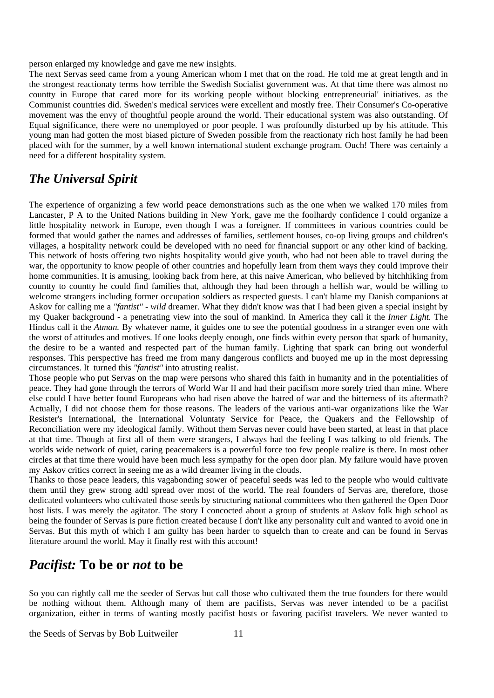person enlarged my knowledge and gave me new insights.

The next Servas seed came from a young American whom I met that on the road. He told me at great length and in the strongest reactionaty terms how terrible the Swedish Socialist government was. At that time there was almost no countty in Europe that cared more for its working people without blocking entrepreneurial' initiatives. as the Communist countries did. Sweden's medical services were excellent and mostly free. Their Consumer's Co-operative movement was the envy of thoughtful people around the world. Their educational system was also outstanding. Of Equal significance, there were no unemployed or poor people. I was profoundly disturbed up by his attitude. This young man had gotten the most biased picture of Sweden possible from the reactionaty rich host family he had been placed with for the summer, by a well known international student exchange program. Ouch! There was certainly a need for a different hospitality system.

#### *The Universal Spirit*

The experience of organizing a few world peace demonstrations such as the one when we walked 170 miles from Lancaster, P A to the United Nations building in New York, gave me the foolhardy confidence I could organize a little hospitality network in Europe, even though I was a foreigner. If committees in various countries could be formed that would gather the names and addresses of families, settlement houses, co-op living groups and children's villages, a hospitality network could be developed with no need for financial support or any other kind of backing. This network of hosts offering two nights hospitality would give youth, who had not been able to travel during the war, the opportunity to know people of other countries and hopefully learn from them ways they could improve their home communities. It is amusing, looking back from here, at this naive American, who believed by hitchhiking from countty to countty he could find families that, although they had been through a hellish war, would be willing to welcome strangers including former occupation soldiers as respected guests. I can't blame my Danish companions at Askov for calling me a *"fantist" - wild* dreamer. What they didn't know was that I had been given a special insight by my Quaker background - a penetrating view into the soul of mankind. In America they call it the *Inner Light.* The Hindus call it the *Atman.* By whatever name, it guides one to see the potential goodness in a stranger even one with the worst of attitudes and motives. If one looks deeply enough, one finds within evety person that spark of humanity, the desire to be a wanted and respected part of the human family. Lighting that spark can bring out wonderful responses. This perspective has freed me from many dangerous conflicts and buoyed me up in the most depressing circumstances. It turned this *"fantist"* into atrusting realist.

Those people who put Servas on the map were persons who shared this faith in humanity and in the potentialities of peace. They had gone through the terrors of World War II and had their pacifism more sorely tried than mine. Where else could I have better found Europeans who had risen above the hatred of war and the bitterness of its aftermath? Actually, I did not choose them for those reasons. The leaders of the various anti-war organizations like the War Resister's International, the International Voluntaty Service for Peace, the Quakers and the Fellowship of Reconciliation were my ideological family. Without them Servas never could have been started, at least in that place at that time. Though at first all of them were strangers, I always had the feeling I was talking to old friends. The worlds wide network of quiet, caring peacemakers is a powerful force too few people realize is there. In most other circles at that time there would have been much less sympathy for the open door plan. My failure would have proven my Askov critics correct in seeing me as a wild dreamer living in the clouds.

Thanks to those peace leaders, this vagabonding sower of peaceful seeds was led to the people who would cultivate them until they grew strong adtl spread over most of the world. The real founders of Servas are, therefore, those dedicated volunteers who cultivated those seeds by structuring national committees who then gathered the Open Door host lists. I was merely the agitator. The story I concocted about a group of students at Askov folk high school as being the founder of Servas is pure fiction created because I don't like any personality cult and wanted to avoid one in Servas. But this myth of which I am guilty has been harder to squelch than to create and can be found in Servas literature around the world. May it finally rest with this account!

### *Pacifist:* **To be or** *not* **to be**

So you can rightly call me the seeder of Servas but call those who cultivated them the true founders for there would be nothing without them. Although many of them are pacifists, Servas was never intended to be a pacifist organization, either in terms of wanting mostly pacifist hosts or favoring pacifist travelers. We never wanted to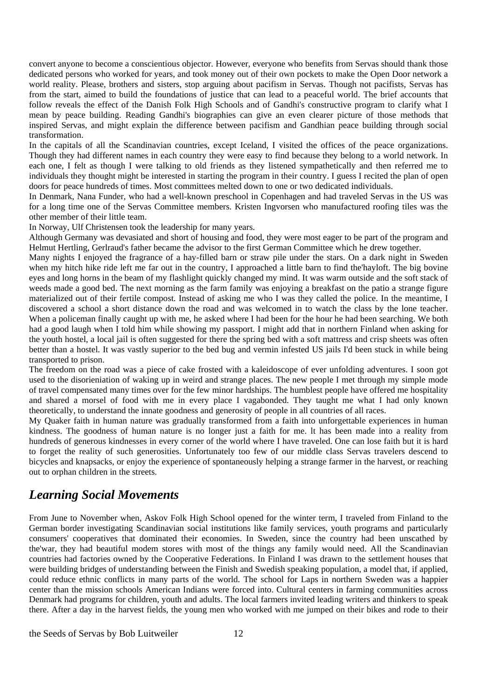convert anyone to become a conscientious objector. However, everyone who benefits from Servas should thank those dedicated persons who worked for years, and took money out of their own pockets to make the Open Door network a world reality. Please, brothers and sisters, stop arguing about pacifism in Servas. Though not pacifists, Servas has from the start, aimed to build the foundations of justice that can lead to a peaceful world. The brief accounts that follow reveals the effect of the Danish Folk High Schools and of Gandhi's constructive program to clarify what I mean by peace building. Reading Gandhi's biographies can give an even clearer picture of those methods that inspired Servas, and might explain the difference between pacifism and Gandhian peace building through social transformation.

In the capitals of all the Scandinavian countries, except Iceland, I visited the offices of the peace organizations. Though they had different names in each country they were easy to find because they belong to a world network. In each one, I felt as though I were talking to old friends as they listened sympathetically and then referred me to individuals they thought might be interested in starting the program in their country. I guess I recited the plan of open doors for peace hundreds of times. Most committees melted down to one or two dedicated individuals.

In Denmark, Nana Funder, who had a well-known preschool in Copenhagen and had traveled Servas in the US was for a long time one of the Servas Committee members. Kristen Ingvorsen who manufactured roofing tiles was the other member of their little team.

In Norway, Ulf Christensen took the leadership for many years.

Although Germany was devasiated and short of housing and food, they were most eager to be part of the program and Helmut Hertling, Gerlraud's father became the advisor to the first German Committee which he drew together.

Many nights I enjoyed the fragrance of a hay-filled barn or straw pile under the stars. On a dark night in Sweden when my hitch hike ride left me far out in the country, I approached a little barn to find the'hayloft. The big bovine eyes and long horns in the beam of my flashlight quickly changed my mind. It was warm outside and the soft stack of weeds made a good bed. The next morning as the farm family was enjoying a breakfast on the patio a strange figure materialized out of their fertile compost. Instead of asking me who I was they called the police. In the meantime, I discovered a school a short distance down the road and was welcomed in to watch the class by the lone teacher. When a policeman finally caught up with me, he asked where I had been for the hour he had been searching. We both had a good laugh when I told him while showing my passport. I might add that in northern Finland when asking for the youth hostel, a local jail is often suggested for there the spring bed with a soft mattress and crisp sheets was often better than a hostel. It was vastly superior to the bed bug and vermin infested US jails I'd been stuck in while being transported to prison.

The freedom on the road was a piece of cake frosted with a kaleidoscope of ever unfolding adventures. I soon got used to the disorieniation of waking up in weird and strange places. The new people I met through my simple mode of travel compensated many times over for the few minor hardships. The humblest people have offered me hospitality and shared a morsel of food with me in every place I vagabonded. They taught me what I had only known theoretically, to understand the innate goodness and generosity of people in all countries of all races.

My Quaker faith in human nature was gradually transformed from a faith into unforgettable experiences in human kindness. The goodness of human nature is no longer just a faith for me. lt has been made into a reality from hundreds of generous kindnesses in every corner of the world where I have traveled. One can lose faith but it is hard to forget the reality of such generosities. Unfortunately too few of our middle class Servas travelers descend to bicycles and knapsacks, or enjoy the experience of spontaneously helping a strange farmer in the harvest, or reaching out to orphan children in the streets.

#### *Learning Social Movements*

From June to November when, Askov Folk High School opened for the winter term, I traveled from Finland to the German border investigating Scandinavian social institutions like family services, youth programs and particularly consumers' cooperatives that dominated their economies. In Sweden, since the country had been unscathed by the'war, they had beautiful modem stores with most of the things any family would need. All the Scandinavian countries had factories owned by the Cooperative Federations. In Finland I was drawn to the settlement houses that were building bridges of understanding between the Finish and Swedish speaking population, a model that, if applied, could reduce ethnic conflicts in many parts of the world. The school for Laps in northern Sweden was a happier center than the mission schools American Indians were forced into. Cultural centers in farming communities across Denmark had programs for children, youth and adults. The local farmers invited leading writers and thinkers to speak there. After a day in the harvest fields, the young men who worked with me jumped on their bikes and rode to their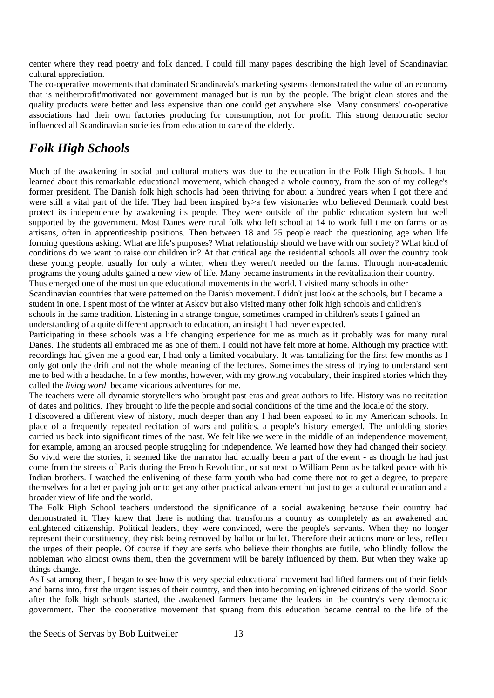center where they read poetry and folk danced. I could fill many pages describing the high level of Scandinavian cultural appreciation.

The co-operative movements that dominated Scandinavia's marketing systems demonstrated the value of an economy that is neitherprofit'motivated nor government managed but is run by the people. The bright clean stores and the quality products were better and less expensive than one could get anywhere else. Many consumers' co-operative associations had their own factories producing for consumption, not for profit. This strong democratic sector influenced all Scandinavian societies from education to care of the elderly.

# *Folk High Schools*

Much of the awakening in social and cultural matters was due to the education in the Folk High Schools. I had learned about this remarkable educational movement, which changed a whole country, from the son of my college's former president. The Danish folk high schools had been thriving for about a hundred years when I got there and were still a vital part of the life. They had been inspired by>a few visionaries who believed Denmark could best protect its independence by awakening its people. They were outside of the public education system but well supported by the government. Most Danes were rural folk who left school at 14 to work full time on farms or as artisans, often in apprenticeship positions. Then between 18 and 25 people reach the questioning age when life forming questions asking: What are life's purposes? What relationship should we have with our society? What kind of conditions do we want to raise our children in? At that critical age the residential schools all over the country took these young people, usually for only a winter, when they weren't needed on the farms. Through non-academic programs the young adults gained a new view of life. Many became instruments in the revitalization their country. Thus emerged one of the most unique educational movements in the world. I visited many schools in other

Scandinavian countries that were patterned on the Danish movement. I didn't just look at the schools, but I became a student in one. I spent most of the winter at Askov but also visited many other folk high schools and children's schools in the same tradition. Listening in a strange tongue, sometimes cramped in children's seats I gained an understanding of a quite different approach to education, an insight I had never expected.

Participating in these schools was a life changing experience for me as much as it probably was for many rural Danes. The students all embraced me as one of them. I could not have felt more at home. Although my practice with recordings had given me a good ear, I had only a limited vocabulary. It was tantalizing for the first few months as I only got only the drift and not the whole meaning of the lectures. Sometimes the stress of trying to understand sent me to bed with a headache. In a few months, however, with my growing vocabulary, their inspired stories which they called the *living word* became vicarious adventures for me.

The teachers were all dynamic storytellers who brought past eras and great authors to life. History was no recitation of dates and politics. They brought to life the people and social conditions of the time and the locale of the story.

I discovered a different view of history, much deeper than any I had been exposed to in my American schools. In place of a frequently repeated recitation of wars and politics, a people's history emerged. The unfolding stories carried us back into significant times of the past. We felt like we were in the middle of an independence movement, for example, among an aroused people struggling for independence. We learned how they had changed their society. So vivid were the stories, it seemed like the narrator had actually been a part of the event - as though he had just come from the streets of Paris during the French Revolution, or sat next to William Penn as he talked peace with his Indian brothers. I watched the enlivening of these farm youth who had come there not to get a degree, to prepare themselves for a better paying job or to get any other practical advancement but just to get a cultural education and a broader view of life and the world.

The Folk High School teachers understood the significance of a social awakening because their country had demonstrated it. They knew that there is nothing that transforms a country as completely as an awakened and enlightened citizenship. Political leaders, they were convinced, were the people's servants. When they no longer represent their constituency, they risk being removed by ballot or bullet. Therefore their actions more or less, reflect the urges of their people. Of course if they are serfs who believe their thoughts are futile, who blindly follow the nobleman who almost owns them, then the government will be barely influenced by them. But when they wake up things change.

As I sat among them, I began to see how this very special educational movement had lifted farmers out of their fields and barns into, first the urgent issues of their country, and then into becoming enlightened citizens of the world. Soon after the folk high schools started, the awakened farmers became the leaders in the country's very democratic government. Then the cooperative movement that sprang from this education became central to the life of the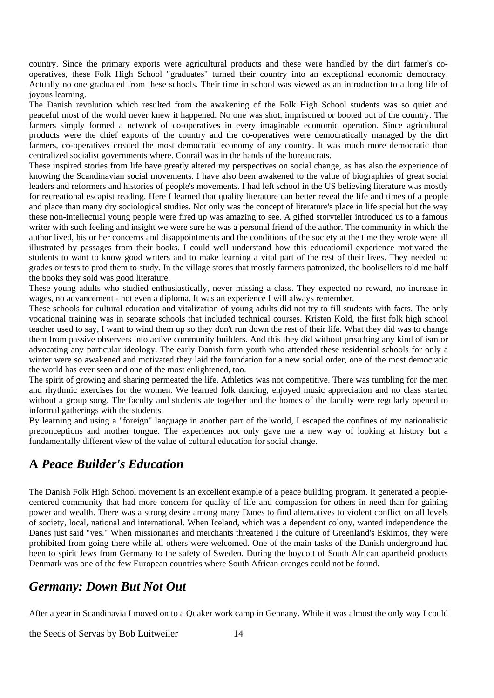country. Since the primary exports were agricultural products and these were handled by the dirt farmer's cooperatives, these Folk High School "graduates" turned their country into an exceptional economic democracy. Actually no one graduated from these schools. Their time in school was viewed as an introduction to a long life of joyous learning.

The Danish revolution which resulted from the awakening of the Folk High School students was so quiet and peaceful most of the world never knew it happened. No one was shot, imprisoned or booted out of the country. The farmers simply formed a network of co-operatives in every imaginable economic operation. Since agricultural products were the chief exports of the country and the co-operatives were democratically managed by the dirt farmers, co-operatives created the most democratic economy of any country. It was much more democratic than centralized socialist governments where. Conrail was in the hands of the bureaucrats.

These inspired stories from life have greatly altered my perspectives on social change, as has also the experience of knowing the Scandinavian social movements. I have also been awakened to the value of biographies of great social leaders and reformers and histories of people's movements. I had left school in the US believing literature was mostly for recreational escapist reading. Here I learned that quality literature can better reveal the life and times of a people and place than many dry sociological studies. Not only was the concept of literature's place in life special but the way these non-intellectual young people were fired up was amazing to see. A gifted storyteller introduced us to a famous writer with such feeling and insight we were sure he was a personal friend of the author. The community in which the author lived, his or her concerns and disappointments and the conditions of the society at the time they wrote were all illustrated by passages from their books. I could well understand how this educatiomil experience motivated the students to want to know good writers and to make learning a vital part of the rest of their lives. They needed no grades or tests to prod them to study. In the village stores that mostly farmers patronized, the booksellers told me half the books they sold was good literature.

These young adults who studied enthusiastically, never missing a class. They expected no reward, no increase in wages, no advancement - not even a diploma. It was an experience I will always remember.

These schools for cultural education and vitalization of young adults did not try to fill students with facts. The only vocational training was in separate schools that included technical courses. Kristen Kold, the first folk high school teacher used to say, I want to wind them up so they don't run down the rest of their life. What they did was to change them from passive observers into active community builders. And this they did without preaching any kind of ism or advocating any particular ideology. The early Danish farm youth who attended these residential schools for only a winter were so awakened and motivated they laid the foundation for a new social order, one of the most democratic the world has ever seen and one of the most enlightened, too.

The spirit of growing and sharing permeated the life. Athletics was not competitive. There was tumbling for the men and rhythmic exercises for the women. We learned folk dancing, enjoyed music appreciation and no class started without a group song. The faculty and students ate together and the homes of the faculty were regularly opened to informal gatherings with the students.

By learning and using a "foreign" language in another part of the world, I escaped the confines of my nationalistic preconceptions and mother tongue. The experiences not only gave me a new way of looking at history but a fundamentally different view of the value of cultural education for social change.

# **A** *Peace Builder's Education*

The Danish Folk High School movement is an excellent example of a peace building program. It generated a peoplecentered community that had more concern for quality of life and compassion for others in need than for gaining power and wealth. There was a strong desire among many Danes to find alternatives to violent conflict on all levels of society, local, national and international. When Iceland, which was a dependent colony, wanted independence the Danes just said "yes." When missionaries and merchants threatened I the culture of Greenland's Eskimos, they were prohibited from going there while all others were welcomed. One of the main tasks of the Danish underground had been to spirit Jews from Germany to the safety of Sweden. During the boycott of South African apartheid products Denmark was one of the few European countries where South African oranges could not be found.

#### *Germany: Down But Not Out*

After a year in Scandinavia I moved on to a Quaker work camp in Gennany. While it was almost the only way I could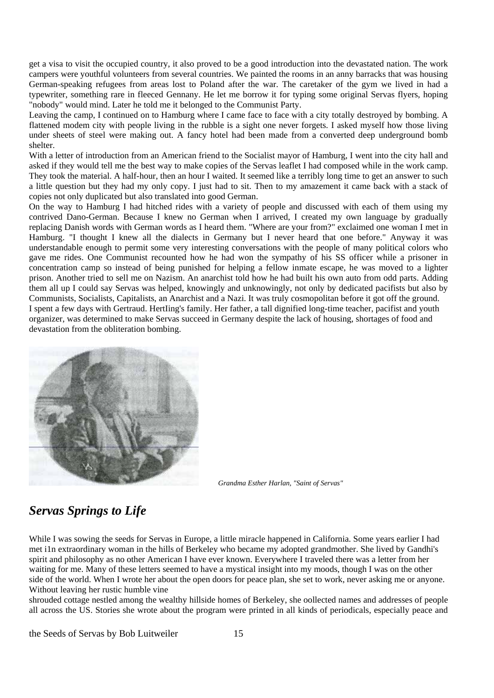get a visa to visit the occupied country, it also proved to be a good introduction into the devastated nation. The work campers were youthful volunteers from several countries. We painted the rooms in an anny barracks that was housing German-speaking refugees from areas lost to Poland after the war. The caretaker of the gym we lived in had a typewriter, something rare in fleeced Gennany. He let me borrow it for typing some original Servas flyers, hoping "nobody" would mind. Later he told me it belonged to the Communist Party.

Leaving the camp. I continued on to Hamburg where I came face to face with a city totally destroyed by bombing. A flattened modem city with people living in the rubble is a sight one never forgets. I asked myself how those living under sheets of steel were making out. A fancy hotel had been made from a converted deep underground bomb shelter.

With a letter of introduction from an American friend to the Socialist mayor of Hamburg, I went into the city hall and asked if they would tell me the best way to make copies of the Servas leaflet I had composed while in the work camp. They took the material. A half-hour, then an hour I waited. It seemed like a terribly long time to get an answer to such a little question but they had my only copy. I just had to sit. Then to my amazement it came back with a stack of copies not only duplicated but also translated into good German.

On the way to Hamburg I had hitched rides with a variety of people and discussed with each of them using my contrived Dano-German. Because I knew no German when I arrived, I created my own language by gradually replacing Danish words with German words as I heard them. "Where are your from?" exclaimed one woman I met in Hamburg. "I thought I knew all the dialects in Germany but I never heard that one before." Anyway it was understandable enough to permit some very interesting conversations with the people of many political colors who gave me rides. One Communist recounted how he had won the sympathy of his SS officer while a prisoner in concentration camp so instead of being punished for helping a fellow inmate escape, he was moved to a lighter prison. Another tried to sell me on Nazism. An anarchist told how he had built his own auto from odd parts. Adding them all up I could say Servas was helped, knowingly and unknowingly, not only by dedicated pacifists but also by Communists, Socialists, Capitalists, an Anarchist and a Nazi. It was truly cosmopolitan before it got off the ground. I spent a few days with Gertraud. HertIing's family. Her father, a tall dignified long-time teacher, pacifist and youth organizer, was determined to make Servas succeed in Germany despite the lack of housing, shortages of food and devastation from the obliteration bombing.



*Grandma Esther Harlan, "Saint of Servas"*

# *Servas Springs to Life*

While I was sowing the seeds for Servas in Europe, a little miracle happened in California. Some years earlier I had met i1n extraordinary woman in the hills of Berkeley who became my adopted grandmother. She lived by Gandhi's spirit and philosophy as no other American I have ever known. Everywhere I traveled there was a letter from her waiting for me. Many of these letters seemed to have a mystical insight into my moods, though I was on the other side of the world. When I wrote her about the open doors for peace plan, she set to work, never asking me or anyone. Without leaving her rustic humble vine

shrouded cottage nestled among the wealthy hillside homes of Berkeley, she oollected names and addresses of people all across the US. Stories she wrote about the program were printed in all kinds of periodicals, especially peace and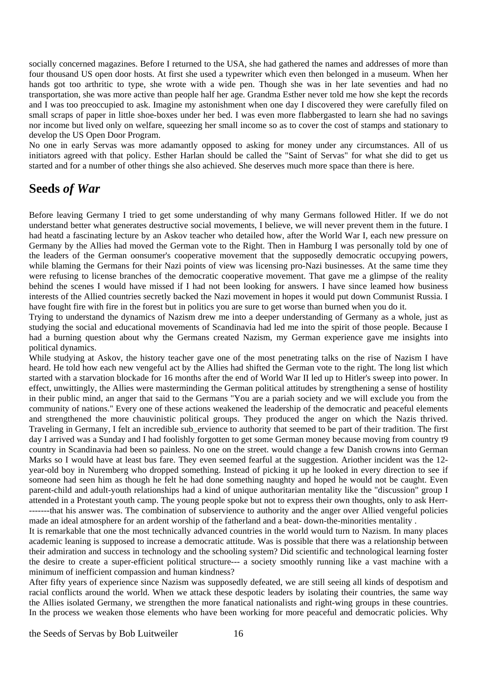socially concerned magazines. Before I returned to the USA, she had gathered the names and addresses of more than four thousand US open door hosts. At first she used a typewriter which even then belonged in a museum. When her hands got too arthritic to type, she wrote with a wide pen. Though she was in her late seventies and had no transportation, she was more active than people half her age. Grandma Esther never told me how she kept the records and I was too preoccupied to ask. Imagine my astonishment when one day I discovered they were carefully filed on small scraps of paper in little shoe-boxes under her bed. I was even more flabbergasted to learn she had no savings nor income but lived only on welfare, squeezing her small income so as to cover the cost of stamps and stationary to develop the US Open Door Program.

No one in early Servas was more adamantly opposed to asking for money under any circumstances. All of us initiators agreed with that policy. Esther Harlan should be called the "Saint of Servas" for what she did to get us started and for a number of other things she also achieved. She deserves much more space than there is here.

#### **Seeds** *of War*

Before leaving Germany I tried to get some understanding of why many Germans followed Hitler. If we do not understand better what generates destructive social movements, I believe, we will never prevent them in the future. I had heatd a fascinating lecture by an Askov teacher who detailed how, after the World War I, each new pressure on Germany by the Allies had moved the German vote to the Right. Then in Hamburg I was personally told by one of the leaders of the German oonsumer's cooperative movement that the supposedly democratic occupying powers, while blaming the Germans for their Nazi points of view was licensing pro-Nazi businesses. At the same time they were refusing to license branches of the democratic cooperative movement. That gave me a glimpse of the reality behind the scenes I would have missed if I had not been looking for answers. I have since leamed how business interests of the Allied countries secretly backed the Nazi movement in hopes it would put down Communist Russia. I have fought fire with fire in the forest but in politics you are sure to get worse than burned when you do it.

Trying to understand the dynamics of Nazism drew me into a deeper understanding of Germany as a whole, just as studying the social and educational movements of Scandinavia had led me into the spirit of those people. Because I had a burning question about why the Germans created Nazism, my German experience gave me insights into political dynamics.

While studying at Askov, the history teacher gave one of the most penetrating talks on the rise of Nazism I have heard. He told how each new vengeful act by the Allies had shifted the German vote to the right. The long list which started with a starvation blockade for 16 months after the end of World War II led up to Hitler's sweep into power. In effect, unwittingly, the Allies were masterminding the German political attitudes by strengthening a sense of hostility in their public mind, an anger that said to the Germans "You are a pariah society and we will exclude you from the community of nations." Every one of these actions weakened the leadership of the democratic and peaceful elements and strengthened the more chauvinistic political groups. They produced the anger on which the Nazis thrived. Traveling in Germany, I felt an incredible sub\_ervience to authority that seemed to be part of their tradition. The first day I arrived was a Sunday and I had foolishly forgotten to get some German money because moving from country t9 country in Scandinavia had been so painless. No one on the street. would change a few Danish crowns into German Marks so I would have at least bus fare. They even seemed fearful at the suggestion. Ariother incident was the 12 year-old boy in Nuremberg who dropped something. Instead of picking it up he looked in every direction to see if someone had seen him as though he felt he had done something naughty and hoped he would not be caught. Even parent-child and adult-youth relationships had a kind of unique authoritarian mentality like the "discussion" group I attended in a Protestant youth camp. The young people spoke but not to express their own thoughts, only to ask Herr- -------that his answer was. The combination of subservience to authority and the anger over Allied vengeful policies made an ideal atmosphere for an ardent worship of the fatherland and a beat- down-the-minorities mentality .

It is remarkable that one the most technically advanced countries in the world would turn to Nazism. In many places academic leaning is supposed to increase a democratic attitude. Was is possible that there was a relationship between their admiration and success in technology and the schooling system? Did scientific and technological learning foster the desire to create a super-efficient political structure--- a society smoothly running like a vast machine with a minimum of inefficient compassion and human kindness?

After fifty years of experience since Nazism was supposedly defeated, we are still seeing all kinds of despotism and racial conflicts around the world. When we attack these despotic leaders by isolating their countries, the same way the Allies isolated Germany, we strengthen the more fanatical nationalists and right-wing groups in these countries. In the process we weaken those elements who have been working for more peaceful and democratic policies. Why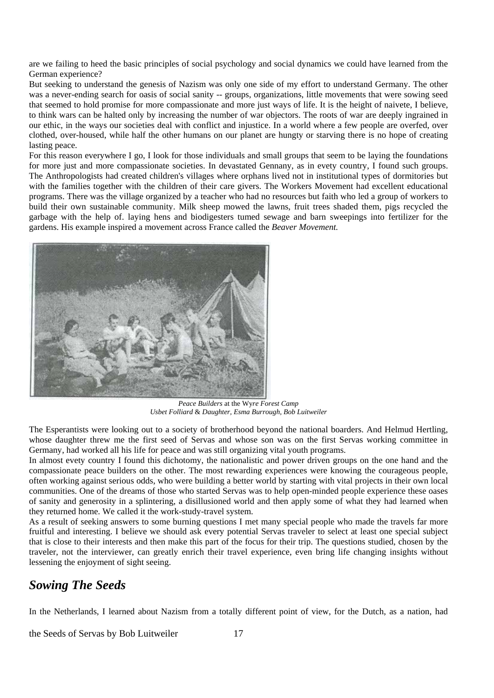are we failing to heed the basic principles of social psychology and social dynamics we could have learned from the German experience?

But seeking to understand the genesis of Nazism was only one side of my effort to understand Germany. The other was a never-ending search for oasis of social sanity -- groups, organizations, little movements that were sowing seed that seemed to hold promise for more compassionate and more just ways of life. It is the height of naivete, I believe, to think wars can be halted only by increasing the number of war objectors. The roots of war are deeply ingrained in our ethic, in the ways our societies deal with conflict and injustice. In a world where a few people are overfed, over clothed, over-housed, while half the other humans on our planet are hungty or starving there is no hope of creating lasting peace.

For this reason everywhere I go, I look for those individuals and small groups that seem to be laying the foundations for more just and more compassionate societies. In devastated Gennany, as in evety country, I found such groups. The Anthropologists had created children's villages where orphans lived not in institutional types of dormitories but with the families together with the children of their care givers. The Workers Movement had excellent educational programs. There was the village organized by a teacher who had no resources but faith who led a group of workers to build their own sustainable community. Milk sheep mowed the lawns, fruit trees shaded them, pigs recycled the garbage with the help of. laying hens and biodigesters tumed sewage and barn sweepings into fertilizer for the gardens. His example inspired a movement across France called the *Beaver Movement.* 



*Peace Builders* at the Wy*re Forest Camp Usbet Folliard* & *Daughter, Esma Burrough, Bob Luitweiler* 

The Esperantists were looking out to a society of brotherhood beyond the national boarders. And Helmud Hertling, whose daughter threw me the first seed of Servas and whose son was on the first Servas working committee in Germany, had worked all his life for peace and was still organizing vital youth programs.

In almost evety country I found this dichotomy, the nationalistic and power driven groups on the one hand and the compassionate peace builders on the other. The most rewarding experiences were knowing the courageous people, often working against serious odds, who were building a better world by starting with vital projects in their own local communities. One of the dreams of those who started Servas was to help open-minded people experience these oases of sanity and generosity in a splintering, a disillusioned world and then apply some of what they had learned when they returned home. We called it the work-study-travel system.

As a result of seeking answers to some burning questions I met many special people who made the travels far more fruitful and interesting. I believe we should ask every potential Servas traveler to select at least one special subject that is close to their interests and then make this part of the focus for their trip. The questions studied, chosen by the traveler, not the interviewer, can greatly enrich their travel experience, even bring life changing insights without lessening the enjoyment of sight seeing.

#### *Sowing The Seeds*

In the Netherlands, I learned about Nazism from a totally different point of view, for the Dutch, as a nation, had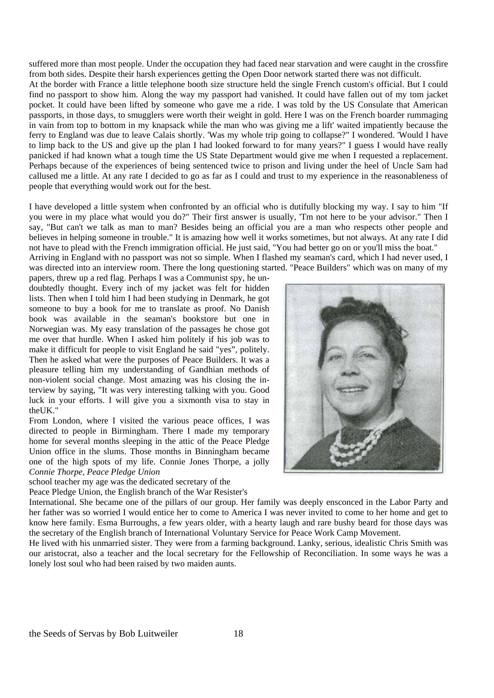suffered more than most people. Under the occupation they had faced near starvation and were caught in the crossfire from both sides. Despite their harsh experiences getting the Open Door network started there was not difficult. At the border with France a little telephone booth size structure held the single French custom's official. But I could find no passport to show him. Along the way my passport had vanished. It could have fallen out of my tom jacket pocket. It could have been lifted by someone who gave me a ride. I was told by the US Consulate that American passports, in those days, to smugglers were worth their weight in gold. Here I was on the French boarder rummaging in vain from top to bottom in my knapsack while the man who was giving me a lift' waited impatiently because the ferry to England was due to leave Calais shortly. 'Was my whole trip going to collapse?" I wondered. 'Would I have to limp back to the US and give up the plan I had looked forward to for many years?" I guess I would have really panicked if had known what a tough time the US State Department would give me when I requested a replacement. Perhaps because of the experiences of being sentenced twice to prison and living under the heel of Uncle Sam had callused me a little. At any rate I decided to go as far as I could and trust to my experience in the reasonableness of people that everything would work out for the best.

I have developed a little system when confronted by an official who is dutifully blocking my way. I say to him "If you were in my place what would you do?" Their first answer is usually, 'Tm not here to be your advisor." Then I say, "But can't we talk as man to man? Besides being an official you are a man who respects other people and believes in helping someone in trouble." It is amazing how well it works sometimes, but not always. At any rate I did not have to plead with the French immigration official. He just said, "You had better go on or you'll miss the boat." Arriving in England with no passport was not so simple. When I flashed my seaman's card, which I had never used, I

was directed into an interview room. There the long questioning started. "Peace Builders" which was on many of my papers, threw up a red flag. Perhaps I was a Communist spy, he undoubtedly thought. Every inch of my jacket was felt for hidden lists. Then when I told him I had been studying in Denmark, he got someone to buy a book for me to translate as proof. No Danish book was available in the seaman's bookstore but one in Norwegian was. My easy translation of the passages he chose got me over that hurdle. When I asked him politely if his job was to make it difficult for people to visit England he said "yes", politely. Then he asked what were the purposes of Peace Builders. It was a pleasure telling him my understanding of Gandhian methods of non-violent social change. Most amazing was his closing the interview by saying, "It was very interesting talking with you. Good luck in your efforts. I will give you a sixmonth visa to stay in the<sub>IK</sub>

From London, where I visited the various peace offices, I was directed to people in Birmingham. There I made my temporary home for several months sleeping in the attic of the Peace Pledge Union office in the slums. Those months in Binningham became one of the high spots of my life. Connie Jones Thorpe, a jolly *Connie Thorpe, Peace Pledge Union*

school teacher my age was the dedicated secretary of the

Peace Pledge Union, the English branch of the War Resister's



International. She became one of the pillars of our group. Her family was deeply ensconced in the Labor Party and her father was so worried I would entice her to come to America I was never invited to come to her home and get to know here family. Esma Burroughs, a few years older, with a hearty laugh and rare bushy beard for those days was the secretary of the English branch of International Voluntary Service for Peace Work Camp Movement.

He lived with his unmarried sister. They were from a farming background. Lanky, serious, idealistic Chris Smith was our aristocrat, also a teacher and the local secretary for the Fellowship of Reconciliation. In some ways he was a lonely lost soul who had been raised by two maiden aunts.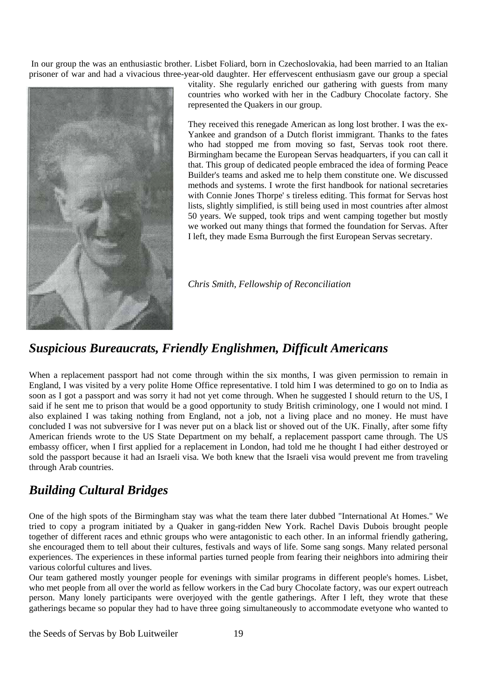In our group the was an enthusiastic brother. Lisbet Foliard, born in Czechoslovakia, had been married to an Italian prisoner of war and had a vivacious three-year-old daughter. Her effervescent enthusiasm gave our group a special



vitality. She regularly enriched our gathering with guests from many countries who worked with her in the Cadbury Chocolate factory. She represented the Quakers in our group.

They received this renegade American as long lost brother. I was the ex-Yankee and grandson of a Dutch florist immigrant. Thanks to the fates who had stopped me from moving so fast, Servas took root there. Birmingham became the European Servas headquarters, if you can call it that. This group of dedicated people embraced the idea of forming Peace Builder's teams and asked me to help them constitute one. We discussed methods and systems. I wrote the first handbook for national secretaries with Connie Jones Thorpe' s tireless editing. This format for Servas host lists, slightly simplified, is still being used in most countries after almost 50 years. We supped, took trips and went camping together but mostly we worked out many things that formed the foundation for Servas. After I left, they made Esma Burrough the first European Servas secretary.

*Chris Smith, Fellowship of Reconciliation*

### *Suspicious Bureaucrats, Friendly Englishmen, Difficult Americans*

When a replacement passport had not come through within the six months, I was given permission to remain in England, I was visited by a very polite Home Office representative. I told him I was determined to go on to India as soon as I got a passport and was sorry it had not yet come through. When he suggested I should return to the US, I said if he sent me to prison that would be a good opportunity to study British criminology, one I would not mind. I also explained I was taking nothing from England, not a job, not a living place and no money. He must have concluded I was not subversive for I was never put on a black list or shoved out of the UK. Finally, after some fifty American friends wrote to the US State Department on my behalf, a replacement passport came through. The US embassy officer, when I first applied for a replacement in London, had told me he thought I had either destroyed or sold the passport because it had an Israeli visa. We both knew that the Israeli visa would prevent me from traveling through Arab countries.

### *Building Cultural Bridges*

One of the high spots of the Birmingham stay was what the team there later dubbed "International At Homes." We tried to copy a program initiated by a Quaker in gang-ridden New York. Rachel Davis Dubois brought people together of different races and ethnic groups who were antagonistic to each other. In an informal friendly gathering, she encouraged them to tell about their cultures, festivals and ways of life. Some sang songs. Many related personal experiences. The experiences in these informal parties turned people from fearing their neighbors into admiring their various colorful cultures and lives.

Our team gathered mostly younger people for evenings with similar programs in different people's homes. Lisbet, who met people from all over the world as fellow workers in the Cad bury Chocolate factory, was our expert outreach person. Many lonely participants were overjoyed with the gentle gatherings. After I left, they wrote that these gatherings became so popular they had to have three going simultaneously to accommodate evetyone who wanted to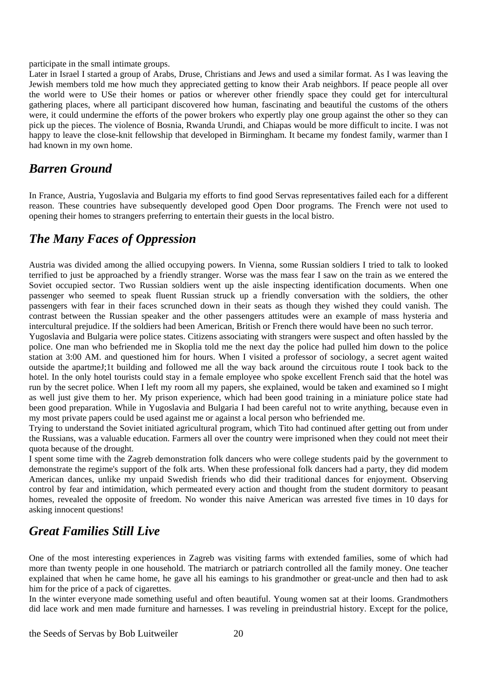#### participate in the small intimate groups.

Later in Israel I started a group of Arabs, Druse, Christians and Jews and used a similar format. As I was leaving the Jewish members told me how much they appreciated getting to know their Arab neighbors. If peace people all over the world were to USe their homes or patios or wherever other friendly space they could get for intercultural gathering places, where all participant discovered how human, fascinating and beautiful the customs of the others were, it could undermine the efforts of the power brokers who expertly play one group against the other so they can pick up the pieces. The violence of Bosnia, Rwanda Urundi, and Chiapas would be more difficult to incite. I was not happy to leave the close-knit fellowship that developed in Birmingham. It became my fondest family, warmer than I had known in my own home.

#### *Barren Ground*

In France, Austria, Yugoslavia and Bulgaria my efforts to find good Servas representatives failed each for a different reason. These countries have subsequently developed good Open Door programs. The French were not used to opening their homes to strangers preferring to entertain their guests in the local bistro.

#### *The Many Faces of Oppression*

Austria was divided among the allied occupying powers. In Vienna, some Russian soldiers I tried to talk to looked terrified to just be approached by a friendly stranger. Worse was the mass fear I saw on the train as we entered the Soviet occupied sector. Two Russian soldiers went up the aisle inspecting identification documents. When one passenger who seemed to speak fluent Russian struck up a friendly conversation with the soldiers, the other passengers with fear in their faces scrunched down in their seats as though they wished they could vanish. The contrast between the Russian speaker and the other passengers attitudes were an example of mass hysteria and intercultural prejudice. If the soldiers had been American, British or French there would have been no such terror.

Yugoslavia and Bulgaria were police states. Citizens associating with strangers were suspect and often hassled by the police. One man who befriended me in Skoplia told me the next day the police had pulled him down to the police station at 3:00 AM. and questioned him for hours. When I visited a professor of sociology, a secret agent waited outside the apartmeJ;1t building and followed me all the way back around the circuitous route I took back to the hotel. In the only hotel tourists could stay in a female employee who spoke excellent French said that the hotel was run by the secret police. When I left my room all my papers, she explained, would be taken and examined so I might as well just give them to her. My prison experience, which had been good training in a miniature police state had been good preparation. While in Yugoslavia and Bulgaria I had been careful not to write anything, because even in my most private papers could be used against me or against a local person who befriended me.

Trying to understand the Soviet initiated agricultural program, which Tito had continued after getting out from under the Russians, was a valuable education. Farmers all over the country were imprisoned when they could not meet their quota because of the drought.

I spent some time with the Zagreb demonstration folk dancers who were college students paid by the government to demonstrate the regime's support of the folk arts. When these professional folk dancers had a party, they did modem American dances, unlike my unpaid Swedish friends who did their traditional dances for enjoyment. Observing control by fear and intimidation, which permeated every action and thought from the student dormitory to peasant homes, revealed the opposite of freedom. No wonder this naive American was arrested five times in 10 days for asking innocent questions!

#### *Great Families Still Live*

One of the most interesting experiences in Zagreb was visiting farms with extended families, some of which had more than twenty people in one household. The matriarch or patriarch controlled all the family money. One teacher explained that when he came home, he gave all his eamings to his grandmother or great-uncle and then had to ask him for the price of a pack of cigarettes.

In the winter everyone made something useful and often beautiful. Young women sat at their looms. Grandmothers did lace work and men made furniture and harnesses. I was reveling in preindustrial history. Except for the police,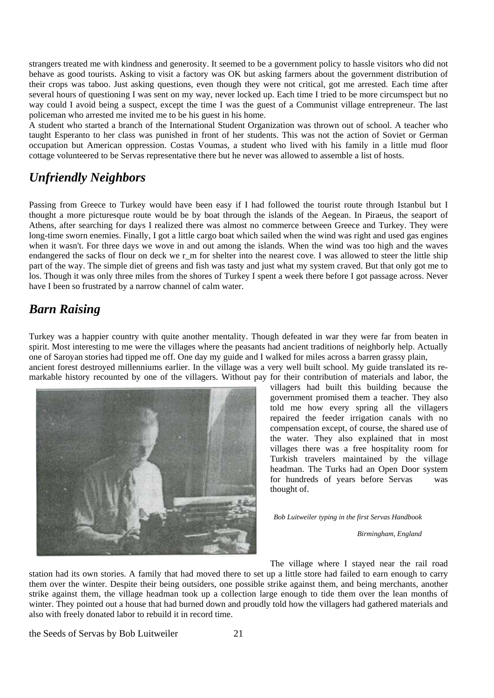strangers treated me with kindness and generosity. It seemed to be a government policy to hassle visitors who did not behave as good tourists. Asking to visit a factory was OK but asking farmers about the government distribution of their crops was taboo. Just asking questions, even though they were not critical, got me arrested. Each time after several hours of questioning I was sent on my way, never locked up. Each time I tried to be more circumspect but no way could I avoid being a suspect, except the time I was the guest of a Communist village entrepreneur. The last policeman who arrested me invited me to be his guest in his home.

A student who started a branch of the International Student Organization was thrown out of school. A teacher who taught Esperanto to her class was punished in front of her students. This was not the action of Soviet or German occupation but American oppression. Costas Voumas, a student who lived with his family in a little mud floor cottage volunteered to be Servas representative there but he never was allowed to assemble a list of hosts.

## *Unfriendly Neighbors*

Passing from Greece to Turkey would have been easy if I had followed the tourist route through Istanbul but I thought a more picturesque route would be by boat through the islands of the Aegean. In Piraeus, the seaport of Athens, after searching for days I realized there was almost no commerce between Greece and Turkey. They were long-time sworn enemies. Finally, I got a little cargo boat which sailed when the wind was right and used gas engines when it wasn't. For three days we wove in and out among the islands. When the wind was too high and the waves endangered the sacks of flour on deck we r\_m for shelter into the nearest cove. I was allowed to steer the little ship part of the way. The simple diet of greens and fish was tasty and just what my system craved. But that only got me to los. Though it was only three miles from the shores of Turkey I spent a week there before I got passage across. Never have I been so frustrated by a narrow channel of calm water.

# *Barn Raising*

Turkey was a happier country with quite another mentality. Though defeated in war they were far from beaten in spirit. Most interesting to me were the villages where the peasants had ancient traditions of neighborly help. Actually one of Saroyan stories had tipped me off. One day my guide and I walked for miles across a barren grassy plain, ancient forest destroyed millenniums earlier. In the village was a very well built school. My guide translated its re-

markable history recounted by one of the villagers. Without pay for their contribution of materials and labor, the



villagers had built this building because the government promised them a teacher. They also told me how every spring all the villagers repaired the feeder irrigation canals with no compensation except, of course, the shared use of the water. They also explained that in most villages there was a free hospitality room for Turkish travelers maintained by the village headman. The Turks had an Open Door system for hundreds of years before Servas was thought of.

*Bob Luitweiler typing in the first Servas Handbook* 

 *Birmingham, England*

The village where I stayed near the rail road

station had its own stories. A family that had moved there to set up a little store had failed to earn enough to carry them over the winter. Despite their being outsiders, one possible strike against them, and being merchants, another strike against them, the village headman took up a collection large enough to tide them over the lean months of winter. They pointed out a house that had burned down and proudly told how the villagers had gathered materials and also with freely donated labor to rebuild it in record time.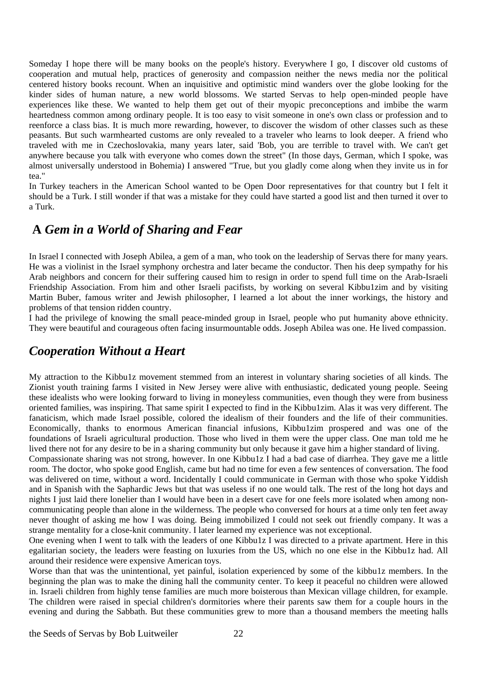Someday I hope there will be many books on the people's history. Everywhere I go, I discover old customs of cooperation and mutual help, practices of generosity and compassion neither the news media nor the political centered history books recount. When an inquisitive and optimistic mind wanders over the globe looking for the kinder sides of human nature, a new world blossoms. We started Servas to help open-minded people have experiences like these. We wanted to help them get out of their myopic preconceptions and imbibe the warm heartedness common among ordinary people. It is too easy to visit someone in one's own class or profession and to reenforce a class bias. It is much more rewarding, however, to discover the wisdom of other classes such as these peasants. But such warmhearted customs are only revealed to a traveler who learns to look deeper. A friend who traveled with me in Czechoslovakia, many years later, said 'Bob, you are terrible to travel with. We can't get anywhere because you talk with everyone who comes down the street" (In those days, German, which I spoke, was almost universally understood in Bohemia) I answered "True, but you gladly come along when they invite us in for tea."

In Turkey teachers in the American School wanted to be Open Door representatives for that country but I felt it should be a Turk. I still wonder if that was a mistake for they could have started a good list and then turned it over to a Turk.

#### **A** *Gem in a World of Sharing and Fear*

In Israel I connected with Joseph Abilea, a gem of a man, who took on the leadership of Servas there for many years. He was a violinist in the Israel symphony orchestra and later became the conductor. Then his deep sympathy for his Arab neighbors and concern for their suffering caused him to resign in order to spend full time on the Arab-Israeli Friendship Association. From him and other Israeli pacifists, by working on several Kibbu1zim and by visiting Martin Buber, famous writer and Jewish philosopher, I learned a lot about the inner workings, the history and problems of that tension ridden country.

I had the privilege of knowing the small peace-minded group in Israel, people who put humanity above ethnicity. They were beautiful and courageous often facing insurmountable odds. Joseph Abilea was one. He lived compassion.

#### *Cooperation Without a Heart*

My attraction to the Kibbu1z movement stemmed from an interest in voluntary sharing societies of all kinds. The Zionist youth training farms I visited in New Jersey were alive with enthusiastic, dedicated young people. Seeing these idealists who were looking forward to living in moneyless communities, even though they were from business oriented families, was inspiring. That same spirit I expected to find in the Kibbu1zim. Alas it was very different. The fanaticism, which made Israel possible, colored the idealism of their founders and the life of their communities. Economically, thanks to enormous American financial infusions, Kibbu1zim prospered and was one of the foundations of Israeli agricultural production. Those who lived in them were the upper class. One man told me he lived there not for any desire to be in a sharing community but only because it gave him a higher standard of living.

Compassionate sharing was not strong, however. In one Kibbu1z I had a bad case of diarrhea. They gave me a little room. The doctor, who spoke good English, came but had no time for even a few sentences of conversation. The food was delivered on time, without a word. Incidentally I could communicate in German with those who spoke Yiddish and in Spanish with the Saphardic Jews but that was useless if no one would talk. The rest of the long hot days and nights I just laid there lonelier than I would have been in a desert cave for one feels more isolated when among noncommunicating people than alone in the wilderness. The people who conversed for hours at a time only ten feet away never thought of asking me how I was doing. Being immobilized I could not seek out friendly company. It was a strange mentality for a close-knit community. I later learned my experience was not exceptional.

One evening when I went to talk with the leaders of one Kibbu1z I was directed to a private apartment. Here in this egalitarian society, the leaders were feasting on luxuries from the US, which no one else in the Kibbu1z had. All around their residence were expensive American toys.

Worse than that was the unintentional, yet painful, isolation experienced by some of the kibbu1z members. In the beginning the plan was to make the dining hall the community center. To keep it peaceful no children were allowed in. Israeli children from highly tense families are much more boisterous than Mexican village children, for example. The children were raised in special children's dormitories where their parents saw them for a couple hours in the evening and during the Sabbath. But these communities grew to more than a thousand members the meeting halls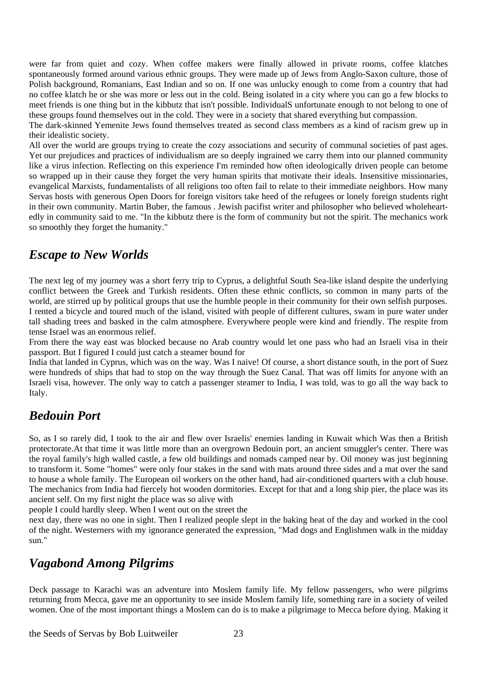were far from quiet and cozy. When coffee makers were finally allowed in private rooms, coffee klatches spontaneously formed around various ethnic groups. They were made up of Jews from Anglo-Saxon culture, those of Polish background, Romanians, East Indian and so on. If one was unlucky enough to come from a country that had no coffee klatch he or she was more or less out in the cold. Being isolated in a city where you can go a few blocks to meet friends is one thing but in the kibbutz that isn't possible. IndividualS unfortunate enough to not belong to one of these groups found themselves out in the cold. They were in a society that shared everything but compassion.

The dark-skinned Yemenite Jews found themselves treated as second class members as a kind of racism grew up in their idealistic society.

All over the world are groups trying to create the cozy associations and security of communal societies of past ages. Yet our prejudices and practices of individualism are so deeply ingrained we carry them into our planned community like a virus infection. Reflecting on this experience I'm reminded how often ideologically driven people can betome so wrapped up in their cause they forget the very human spirits that motivate their ideals. Insensitive missionaries, evangelical Marxists, fundamentalists of all religions too often fail to relate to their immediate neighbors. How many Servas hosts with generous Open Doors for foreign visitors take heed of the refugees or lonely foreign students right in their own community. Martin Buber, the famous . Jewish pacifist writer and philosopher who believed wholeheartedly in community said to me. "In the kibbutz there is the form of community but not the spirit. The mechanics work so smoothly they forget the humanity."

#### *Escape to New Worlds*

The next leg of my journey was a short ferry trip to Cyprus, a delightful South Sea-like island despite the underlying conflict between the Greek and Turkish residents. Often these ethnic conflicts, so common in many parts of the world, are stirred up by political groups that use the humble people in their community for their own selfish purposes. I rented a bicycle and toured much of the island, visited with people of different cultures, swam in pure water under tall shading trees and basked in the calm atmosphere. Everywhere people were kind and friendly. The respite from tense Israel was an enormous relief.

From there the way east was blocked because no Arab country would let one pass who had an Israeli visa in their passport. But I figured I could just catch a steamer bound for

India that landed in Cyprus, which was on the way. Was I naive! Of course, a short distance south, in the port of Suez were hundreds of ships that had to stop on the way through the Suez Canal. That was off limits for anyone with an Israeli visa, however. The only way to catch a passenger steamer to India, I was told, was to go all the way back to Italy.

#### *Bedouin Port*

So, as I so rarely did, I took to the air and flew over Israelis' enemies landing in Kuwait which Was then a British protectorate.At that time it was little more than an overgrown Bedouin port, an ancient smuggler's center. There was the royal family's high walled castle, a few old buildings and nomads camped near by. Oil money was just beginning to transform it. Some "homes" were only four stakes in the sand with mats around three sides and a mat over the sand to house a whole family. The European oil workers on the other hand, had air-conditioned quarters with a club house. The mechanics from India had fiercely hot wooden dormitories. Except for that and a long ship pier, the place was its ancient self. On my first night the place was so alive with

people I could hardly sleep. When I went out on the street the

next day, there was no one in sight. Then I realized people slept in the baking heat of the day and worked in the cool of the night. Westerners with my ignorance generated the expression, "Mad dogs and Englishmen walk in the midday sun."

#### *Vagabond Among Pilgrims*

Deck passage to Karachi was an adventure into Moslem family life. My fellow passengers, who were pilgrims returning from Mecca, gave me an opportunity to see inside Moslem family life, something rare in a society of veiled women. One of the most important things a Moslem can do is to make a pilgrimage to Mecca before dying. Making it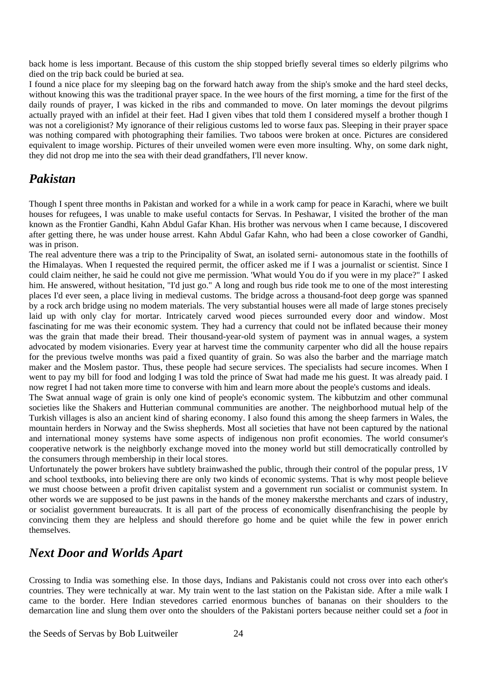back home is less important. Because of this custom the ship stopped briefly several times so elderly pilgrims who died on the trip back could be buried at sea.

I found a nice place for my sleeping bag on the forward hatch away from the ship's smoke and the hard steel decks, without knowing this was the traditional prayer space. In the wee hours of the first morning, a time for the first of the daily rounds of prayer, I was kicked in the ribs and commanded to move. On later momings the devout pilgrims actually prayed with an infidel at their feet. Had I given vibes that told them I considered myself a brother though I was not a coreligionist? My ignorance of their religious customs led to worse faux pas. Sleeping in their prayer space was nothing compared with photographing their families. Two taboos were broken at once. Pictures are considered equivalent to image worship. Pictures of their unveiled women were even more insulting. Why, on some dark night, they did not drop me into the sea with their dead grandfathers, I'll never know.

#### *Pakistan*

Though I spent three months in Pakistan and worked for a while in a work camp for peace in Karachi, where we built houses for refugees, I was unable to make useful contacts for Servas. In Peshawar, I visited the brother of the man known as the Frontier Gandhi, Kahn Abdul Gafar Khan. His brother was nervous when I came because, I discovered after getting there, he was under house arrest. Kahn Abdul Gafar Kahn, who had been a close coworker of Gandhi, was in prison.

The real adventure there was a trip to the Principality of Swat, an isolated serni- autonomous state in the foothills of the Himalayas. When I requested the required permit, the officer asked me if I was a journalist or scientist. Since I could claim neither, he said he could not give me permission. 'What would You do if you were in my place?" I asked him. He answered, without hesitation, "I'd just go." A long and rough bus ride took me to one of the most interesting places I'd ever seen, a place living in medieval customs. The bridge across a thousand-foot deep gorge was spanned by a rock arch bridge using no modem materials. The very substantial houses were all made of large stones precisely laid up with only clay for mortar. Intricately carved wood pieces surrounded every door and window. Most fascinating for me was their economic system. They had a currency that could not be inflated because their money was the grain that made their bread. Their thousand-year-old system of payment was in annual wages, a system advocated by modem visionaries. Every year at harvest time the community carpenter who did all the house repairs for the previous twelve months was paid a fixed quantity of grain. So was also the barber and the marriage match maker and the Moslem pastor. Thus, these people had secure services. The specialists had secure incomes. When I went to pay my bill for food and lodging I was told the prince of Swat had made me his guest. It was already paid. I now regret I had not taken more time to converse with him and learn more about the people's customs and ideals.

The Swat annual wage of grain is only one kind of people's economic system. The kibbutzim and other communal societies like the Shakers and Hutterian communal communities are another. The neighborhood mutual help of the Turkish villages is also an ancient kind of sharing economy. I also found this among the sheep farmers in Wales, the mountain herders in Norway and the Swiss shepherds. Most all societies that have not been captured by the national and international money systems have some aspects of indigenous non profit economies. The world consumer's cooperative network is the neighborly exchange moved into the money world but still democratically controlled by the consumers through membership in their local stores.

Unfortunately the power brokers have subtlety brainwashed the public, through their control of the popular press, 1V and school textbooks, into believing there are only two kinds of economic systems. That is why most people believe we must choose between a profit driven capitalist system and a government run socialist or communist system. In other words we are supposed to be just pawns in the hands of the money makersthe merchants and czars of industry, or socialist government bureaucrats. It is all part of the process of economically disenfranchising the people by convincing them they are helpless and should therefore go home and be quiet while the few in power enrich themselves.

### *Next Door and Worlds Apart*

Crossing to India was something else. In those days, Indians and Pakistanis could not cross over into each other's countries. They were technically at war. My train went to the last station on the Pakistan side. After a mile walk I came to the border. Here Indian stevedores carried enormous bunches of bananas on their shoulders to the demarcation line and slung them over onto the shoulders of the Pakistani porters because neither could set a *foot* in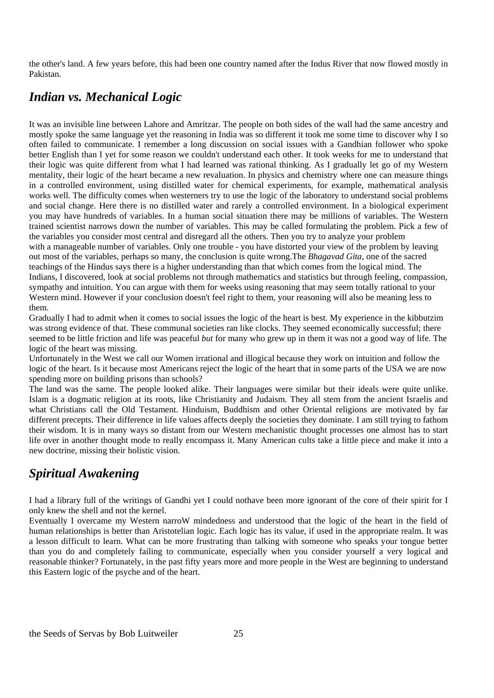the other's land. A few years before, this had been one country named after the Indus River that now flowed mostly in Pakistan.

# *Indian vs. Mechanical Logic*

It was an invisible line between Lahore and Amritzar. The people on both sides of the wall had the same ancestry and mostly spoke the same language yet the reasoning in India was so different it took me some time to discover why I so often failed to communicate. I remember a long discussion on social issues with a Gandhian follower who spoke better English than I yet for some reason we couldn't understand each other. It took weeks for me to understand that their logic was quite different from what I had learned was rational thinking. As I gradually let go of my Western mentality, their logic of the heart became a new revaluation. In physics and chemistry where one can measure things in a controlled environment, using distilled water for chemical experiments, for example, mathematical analysis works well. The difficulty comes when westerners try to use the logic of the laboratory to understand social problems and social change. Here there is no distilled water and rarely a controlled environment. In a biological experiment you may have hundreds of variables. In a human social situation there may be millions of variables. The Western trained scientist narrows down the number of variables. This may be called formulating the problem. Pick a few of the variables you consider most central and disregard all the others. Then you try to analyze your problem with a manageable number of variables. Only one trouble - you have distorted your view of the problem by leaving out most of the variables, perhaps so many, the conclusion is quite wrong.The *Bhagavad Gita,* one of the sacred teachings of the Hindus says there is a higher understanding than that which comes from the logical mind. The Indians, I discovered, look at social problems not through mathematics and statistics but through feeling, compassion, sympathy and intuition. You can argue with them for weeks using reasoning that may seem totally rational to your Western mind. However if your conclusion doesn't feel right to them, your reasoning will also be meaning less to them.

Gradually I had to admit when it comes to social issues the logic of the heart is best. My experience in the kibbutzim was strong evidence of that. These communal societies ran like clocks. They seemed economically successful; there seemed to be little friction and life was peaceful *but* for many who grew up in them it was not a good way of life. The logic of the heart was missing.

Unfortunately in the West we call our Women irrational and illogical because they work on intuition and follow the logic of the heart. Is it because most Americans reject the logic of the heart that in some parts of the USA we are now spending more on building prisons than schools?

The land was the same. The people looked alike. Their languages were similar but their ideals were quite unlike. Islam is a dogmatic religion at its roots, like Christianity and Judaism. They all stem from the ancient Israelis and what Christians call the Old Testament. Hinduism, Buddhism and other Oriental religions are motivated by far different precepts. Their difference in life values affects deeply the societies they dominate. I am still trying to fathom their wisdom. It is in many ways so distant from our Western mechanistic thought processes one almost has to start life over in another thought mode to really encompass it. Many American cults take a little piece and make it into a new doctrine, missing their holistic vision.

# *Spiritual Awakening*

I had a library full of the writings of Gandhi yet I could nothave been more ignorant of the core of their spirit for I only knew the shell and not the kernel.

Eventually I overcame my Western narroW mindedness and understood that the logic of the heart in the field of human relationships is better than Aristotelian logic. Each logic has its value, if used in the appropriate realm. It was a lesson difficult to learn. What can be more frustrating than talking with someone who speaks your tongue better than you do and completely failing to communicate, especially when you consider yourself a very logical and reasonable thinker? Fortunately, in the past fifty years more and more people in the West are beginning to understand this Eastern logic of the psyche and of the heart.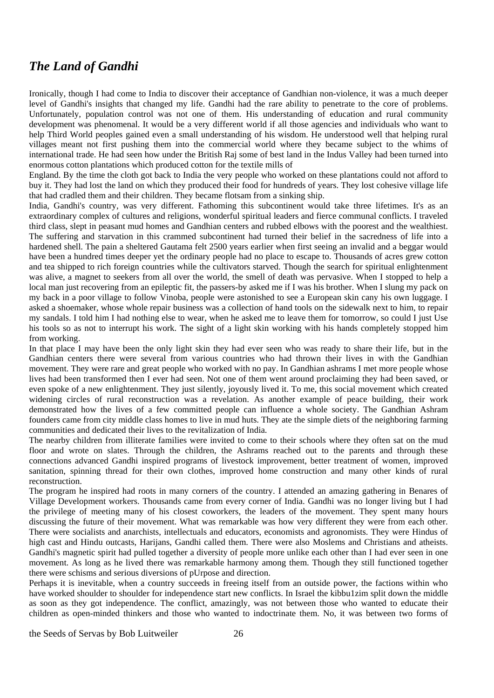#### *The Land of Gandhi*

Ironically, though I had come to India to discover their acceptance of Gandhian non-violence, it was a much deeper level of Gandhi's insights that changed my life. Gandhi had the rare ability to penetrate to the core of problems. Unfortunately, population control was not one of them. His understanding of education and rural community development was phenomenal. It would be a very different world if all those agencies and individuals who want to help Third World peoples gained even a small understanding of his wisdom. He understood well that helping rural villages meant not first pushing them into the commercial world where they became subject to the whims of international trade. He had seen how under the British Raj some of best land in the Indus Valley had been turned into enormous cotton plantations which produced cotton for the textile mills of

England. By the time the cloth got back to India the very people who worked on these plantations could not afford to buy it. They had lost the land on which they produced their food for hundreds of years. They lost cohesive village life that had cradled them and their children. They became flotsam from a sinking ship.

India, Gandhi's country, was very different. Fathoming this subcontinent would take three lifetimes. It's as an extraordinary complex of cultures and religions, wonderful spiritual leaders and fierce communal conflicts. I traveled third class, slept in peasant mud homes and Gandhian centers and rubbed elbows with the poorest and the wealthiest. The suffering and starvation in this crammed subcontinent had turned their belief in the sacredness of life into a hardened shell. The pain a sheltered Gautama felt 2500 years earlier when first seeing an invalid and a beggar would have been a hundred times deeper yet the ordinary people had no place to escape to. Thousands of acres grew cotton and tea shipped to rich foreign countries while the cultivators starved. Though the search for spiritual enlightenment was alive, a magnet to seekers from all over the world, the smell of death was pervasive. When I stopped to help a local man just recovering from an epileptic fit, the passers-by asked me if I was his brother. When I slung my pack on my back in a poor village to follow Vinoba, people were astonished to see a European skin cany his own luggage. I asked a shoemaker, whose whole repair business was a collection of hand tools on the sidewalk next to him, to repair my sandals. I told him I had nothing else to wear, when he asked me to leave them for tomorrow, so could I just Use his tools so as not to interrupt his work. The sight of a light skin working with his hands completely stopped him from working.

In that place I may have been the only light skin they had ever seen who was ready to share their life, but in the Gandhian centers there were several from various countries who had thrown their lives in with the Gandhian movement. They were rare and great people who worked with no pay. In Gandhian ashrams I met more people whose lives had been transformed then I ever had seen. Not one of them went around proclaiming they had been saved, or even spoke of a new enlightenment. They just silently, joyously lived it. To me, this social movement which created widening circles of rural reconstruction was a revelation. As another example of peace building, their work demonstrated how the lives of a few committed people can influence a whole society. The Gandhian Ashram founders came from city middle class homes to live in mud huts. They ate the simple diets of the neighboring farming communities and dedicated their lives to the revitalization of India.

The nearby children from illiterate families were invited to come to their schools where they often sat on the mud floor and wrote on slates. Through the children, the Ashrams reached out to the parents and through these connections advanced Gandhi inspired programs of livestock improvement, better treatment of women, improved sanitation, spinning thread for their own clothes, improved home construction and many other kinds of rural reconstruction.

The program he inspired had roots in many corners of the country. I attended an amazing gathering in Benares of Village Development workers. Thousands came from every corner of India. Gandhi was no longer living but I had the privilege of meeting many of his closest coworkers, the leaders of the movement. They spent many hours discussing the future of their movement. What was remarkable was how very different they were from each other. There were socialists and anarchists, intellectuals and educators, economists and agronomists. They were Hindus of high cast and Hindu outcasts, Harijans, Gandhi called them. There were also Moslems and Christians and atheists. Gandhi's magnetic spirit had pulled together a diversity of people more unlike each other than I had ever seen in one movement. As long as he lived there was remarkable harmony among them. Though they still functioned together there were schisms and serious diversions of pUrpose and direction.

Perhaps it is inevitable, when a country succeeds in freeing itself from an outside power, the factions within who have worked shoulder to shoulder for independence start new conflicts. In Israel the kibbu1zim split down the middle as soon as they got independence. The conflict, amazingly, was not between those who wanted to educate their children as open-minded thinkers and those who wanted to indoctrinate them. No, it was between two forms of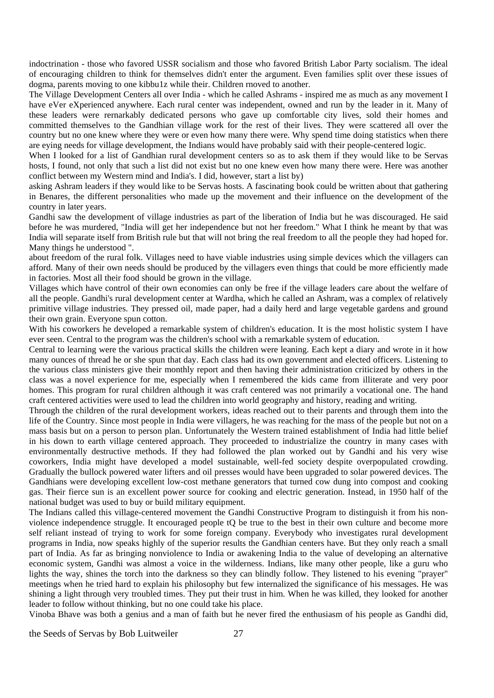indoctrination - those who favored USSR socialism and those who favored British Labor Party socialism. The ideal of encouraging children to think for themselves didn't enter the argument. Even families split over these issues of dogma, parents moving to one kibbu1z while their. Children rnoved to another.

The Village Development Centers all over India - which he called Ashrams - inspired me as much as any movement I have eVer eXperienced anywhere. Each rural center was independent, owned and run by the leader in it. Many of these leaders were rernarkably dedicated persons who gave up comfortable city lives, sold their homes and committed themselves to the Gandhian village work for the rest of their lives. They were scattered all over the country but no one knew where they were or even how many there were. Why spend time doing statistics when there are eying needs for village development, the Indians would have probably said with their people-centered logic.

When I looked for a list of Gandhian rural development centers so as to ask them if they would like to be Servas hosts, I found, not only that such a list did not exist but no one knew even how many there were. Here was another conflict between my Western mind and India's. I did, however, start a list by)

asking Ashram leaders if they would like to be Servas hosts. A fascinating book could be written about that gathering in Benares, the different personalities who made up the movement and their influence on the development of the country in later years.

Gandhi saw the development of village industries as part of the liberation of India but he was discouraged. He said before he was murdered, "India will get her independence but not her freedom." What I think he meant by that was India will separate itself from British rule but that will not bring the real freedom to all the people they had hoped for. Many things he understood ".

about freedom of the rural folk. Villages need to have viable industries using simple devices which the villagers can afford. Many of their own needs should be produced by the villagers even things that could be more efficiently made in factories. Most all their food should be grown in the village.

Villages which have control of their own economies can only be free if the village leaders care about the welfare of all the people. Gandhi's rural development center at Wardha, which he called an Ashram, was a complex of relatively primitive village industries. They pressed oil, made paper, had a daily herd and large vegetable gardens and ground their own grain. Everyone spun cotton.

With his coworkers he developed a remarkable system of children's education. It is the most holistic system I have ever seen. Central to the program was the children's school with a remarkable system of education.

Central to learning were the various practical skills the children were leaning. Each kept a diary and wrote in it how many ounces of thread he or she spun that day. Each class had its own government and elected officers. Listening to the various class ministers give their monthly report and then having their administration criticized by others in the class was a novel experience for me, especially when I remembered the kids came from illiterate and very poor homes. This program for rural children although it was craft centered was not primarily a vocational one. The hand craft centered activities were used to lead the children into world geography and history, reading and writing.

Through the children of the rural development workers, ideas reached out to their parents and through them into the life of the Country. Since most people in India were villagers, he was reaching for the mass of the people but not on a mass basis but on a person to person plan. Unfortunately the Western trained establishment of India had little belief in his down to earth village centered approach. They proceeded to industrialize the country in many cases with environmentally destructive methods. If they had followed the plan worked out by Gandhi and his very wise coworkers, India might have developed a model sustainable, well-fed society despite overpopulated crowding. Gradually the bullock powered water lifters and oil presses would have been upgraded to solar powered devices. The Gandhians were developing excellent low-cost methane generators that turned cow dung into compost and cooking gas. Their fierce sun is an excellent power source for cooking and electric generation. Instead, in 1950 half of the national budget was used to buy or build military equipment.

The Indians called this village-centered movement the Gandhi Constructive Program to distinguish it from his nonviolence independence struggle. It encouraged people tQ be true to the best in their own culture and become more self reliant instead of trying to work for some foreign company. Everybody who investigates rural development programs in India, now speaks highly of the superior results the Gandhian centers have. But they only reach a small part of India. As far as bringing nonviolence to India or awakening India to the value of developing an alternative economic system, Gandhi was almost a voice in the wilderness. Indians, like many other people, like a guru who lights the way, shines the torch into the darkness so they can blindly follow. They listened to his evening "prayer" meetings when he tried hard to explain his philosophy but few internalized the significance of his messages. He was shining a light through very troubled times. They put their trust in him. When he was killed, they looked for another leader to follow without thinking, but no one could take his place.

Vinoba Bhave was both a genius and a man of faith but he never fired the enthusiasm of his people as Gandhi did,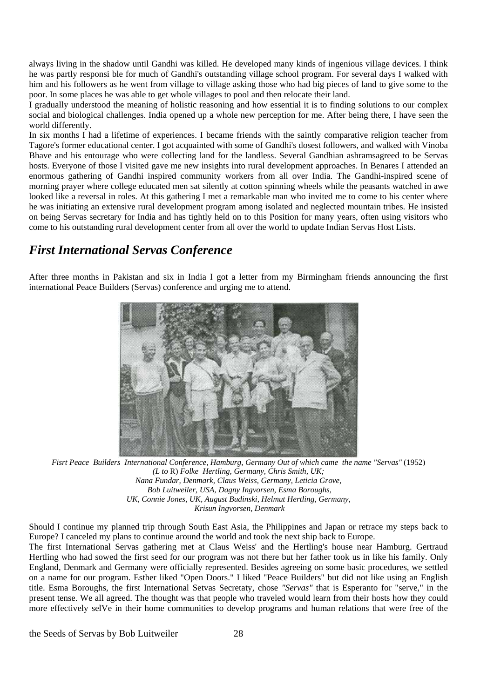always living in the shadow until Gandhi was killed. He developed many kinds of ingenious village devices. I think he was partly responsi ble for much of Gandhi's outstanding village school program. For several days I walked with him and his followers as he went from village to village asking those who had big pieces of land to give some to the poor. In some places he was able to get whole villages to pool and then relocate their land.

I gradually understood the meaning of holistic reasoning and how essential it is to finding solutions to our complex social and biological challenges. India opened up a whole new perception for me. After being there, I have seen the world differently.

In six months I had a lifetime of experiences. I became friends with the saintly comparative religion teacher from Tagore's former educational center. I got acquainted with some of Gandhi's dosest followers, and walked with Vinoba Bhave and his entourage who were collecting land for the landless. Several Gandhian ashramsagreed to be Servas hosts. Everyone of those I visited gave me new insights into rural development approaches. In Benares I attended an enormous gathering of Gandhi inspired community workers from all over India. The Gandhi-inspired scene of morning prayer where college educated men sat silently at cotton spinning wheels while the peasants watched in awe looked like a reversal in roles. At this gathering I met a remarkable man who invited me to come to his center where he was initiating an extensive rural development program among isolated and neglected mountain tribes. He insisted on being Servas secretary for India and has tightly held on to this Position for many years, often using visitors who come to his outstanding rural development center from all over the world to update Indian Servas Host Lists.

#### *First International Servas Conference*

After three months in Pakistan and six in India I got a letter from my Birmingham friends announcing the first international Peace Builders (Servas) conference and urging me to attend.



*Fisrt Peace Builders International Conference, Hamburg, Germany Out of which came the name "Servas"* (1952) *(L to* R) *Folke Hertling, Germany, Chris Smith, UK; Nana Fundar, Denmark, Claus Weiss, Germany, Leticia Grove, Bob Luitweiler, USA, Dagny Ingvorsen, Esma Boroughs, UK, Connie Jones, UK, August Budinski, Helmut Hertling, Germany, Krisun Ingvorsen, Denmark* 

Should I continue my planned trip through South East Asia, the Philippines and Japan or retrace my steps back to Europe? I canceled my plans to continue around the world and took the next ship back to Europe. The first International Servas gathering met at Claus Weiss' and the Hertling's house near Hamburg. Gertraud Hertling who had sowed the first seed for our program was not there but her father took us in like his family. Only England, Denmark and Germany were officially represented. Besides agreeing on some basic procedures, we settled on a name for our program. Esther liked "Open Doors." I liked "Peace Builders" but did not like using an English title. Esma Boroughs, the first International Setvas Secretaty, chose *"Servas"* that is Esperanto for "serve," in the present tense. We all agreed. The thought was that people who traveled would learn from their hosts how they could more effectively selVe in their home communities to develop programs and human relations that were free of the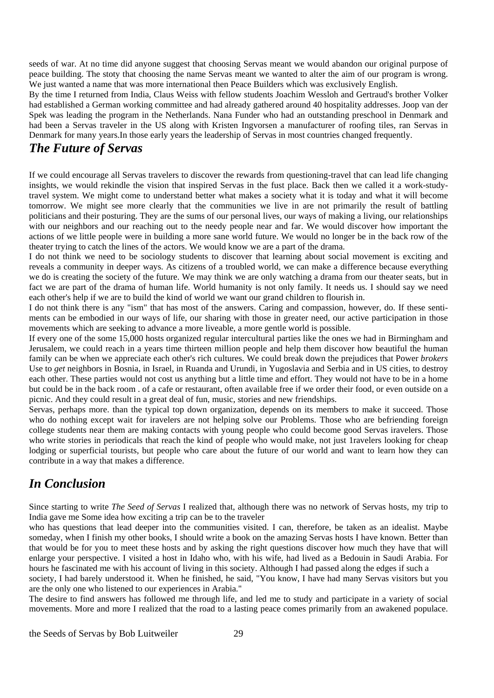seeds of war. At no time did anyone suggest that choosing Servas meant we would abandon our original purpose of peace building. The stoty that choosing the name Servas meant we wanted to alter the aim of our program is wrong. We just wanted a name that was more international then Peace Builders which was exclusively English.

By the time I returned from India, Claus Weiss with fellow students Joachim Wessloh and Gertraud's brother Volker had established a German working committee and had already gathered around 40 hospitality addresses. Joop van der Spek was leading the program in the Netherlands. Nana Funder who had an outstanding preschool in Denmark and had been a Servas traveler in the US along with Kristen Ingvorsen a manufacturer of roofing tiles, ran Servas in Denmark for many years.In those early years the leadership of Servas in most countries changed frequently.

#### *The Future of Servas*

If we could encourage all Servas travelers to discover the rewards from questioning-travel that can lead life changing insights, we would rekindle the vision that inspired Servas in the fust place. Back then we called it a work-studytravel system. We might come to understand better what makes a society what it is today and what it will become tomorrow. We might see more clearly that the communities we live in are not primarily the result of battling politicians and their posturing. They are the sums of our personal lives, our ways of making a living, our relationships with our neighbors and our reaching out to the needy people near and far. We would discover how important the actions of we little people were in building a more sane world future. We would no longer be in the back row of the theater trying to catch the lines of the actors. We would know we are a part of the drama.

I do not think we need to be sociology students to discover that learning about social movement is exciting and reveals a community in deeper ways. As citizens of a troubled world, we can make a difference because everything we do is creating the society of the future. We may think we are only watching a drama from our theater seats, but in fact we are part of the drama of human life. World humanity is not only family. It needs us. I should say we need each other's help if we are to build the kind of world we want our grand children to flourish in.

I do not think there is any "ism" that has most of the answers. Caring and compassion, however, do. If these sentiments can be embodied in our ways of life, our sharing with those in greater need, our active participation in those movements which are seeking to advance a more liveable, a more gentle world is possible.

If every one of the some 15,000 hosts organized regular intercultural parties like the ones we had in Birmingham and Jerusalem, we could reach in a years time thirteen million people and help them discover how beautiful the human family can be when we appreciate each other's rich cultures. We could break down the prejudices that Power *brokers*  Use to *get* neighbors in Bosnia, in Israel, in Ruanda and Urundi, in Yugoslavia and Serbia and in US cities, to destroy each other. These parties would not cost us anything but a little time and effort. They would not have to be in a home but could be in the back room . of a cafe or restaurant, often available free if we order their food, or even outside on a picnic. And they could result in a great deal of fun, music, stories and new friendships.

Servas, perhaps more. than the typical top down organization, depends on its members to make it succeed. Those who do nothing except wait for iravelers are not helping solve our Problems. Those who are befriending foreign college students near them are making contacts with young people who could become good Servas iravelers. Those who write stories in periodicals that reach the kind of people who would make, not just 1ravelers looking for cheap lodging or superficial tourists, but people who care about the future of our world and want to learn how they can contribute in a way that makes a difference.

# *In Conclusion*

Since starting to write *The Seed of Servas* I realized that, although there was no network of Servas hosts, my trip to India gave me Some idea how exciting a trip can be to the traveler

who has questions that lead deeper into the communities visited. I can, therefore, be taken as an idealist. Maybe someday, when I finish my other books, I should write a book on the amazing Servas hosts I have known. Better than that would be for you to meet these hosts and by asking the right questions discover how much they have that will enlarge your perspective. I visited a host in Idaho who, with his wife, had lived as a Bedouin in Saudi Arabia. For hours he fascinated me with his account of living in this society. Although I had passed along the edges if such a

society, I had barely understood it. When he finished, he said, "You know, I have had many Servas visitors but you are the only one who listened to our experiences in Arabia."

The desire to find answers has followed me through life, and led me to study and participate in a variety of social movements. More and more I realized that the road to a lasting peace comes primarily from an awakened populace.